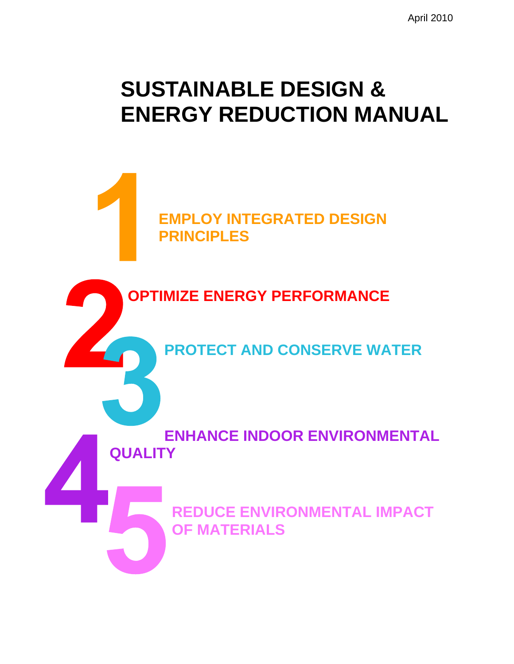# **SUSTAINABLE DESIGN & ENERGY REDUCTION MANUAL**

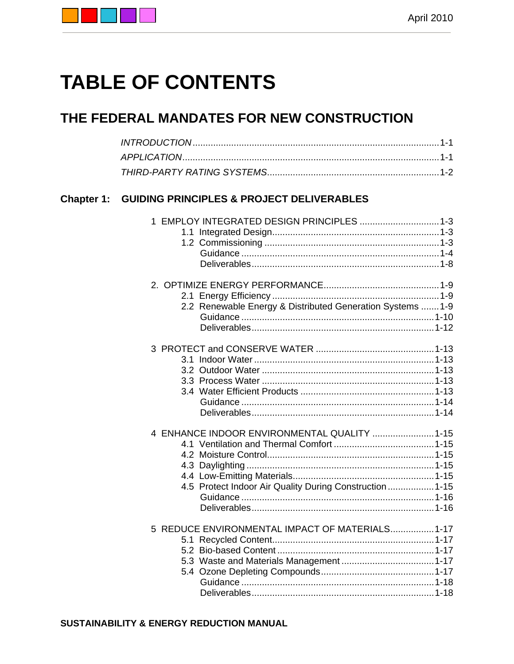

# **TABLE OF CONTENTS**

## THE FEDERAL MANDATES FOR NEW CONSTRUCTION

| <b>Chapter 1:</b> | <b>GUIDING PRINCIPLES &amp; PROJECT DELIVERABLES</b>                                                     |  |
|-------------------|----------------------------------------------------------------------------------------------------------|--|
|                   | 1 EMPLOY INTEGRATED DESIGN PRINCIPLES  1-3                                                               |  |
|                   | 2.2 Renewable Energy & Distributed Generation Systems  1-9                                               |  |
|                   |                                                                                                          |  |
|                   | 4 ENHANCE INDOOR ENVIRONMENTAL QUALITY  1-15<br>4.5 Protect Indoor Air Quality During Construction  1-15 |  |
|                   | 5 REDUCE ENVIRONMENTAL IMPACT OF MATERIALS 1-17                                                          |  |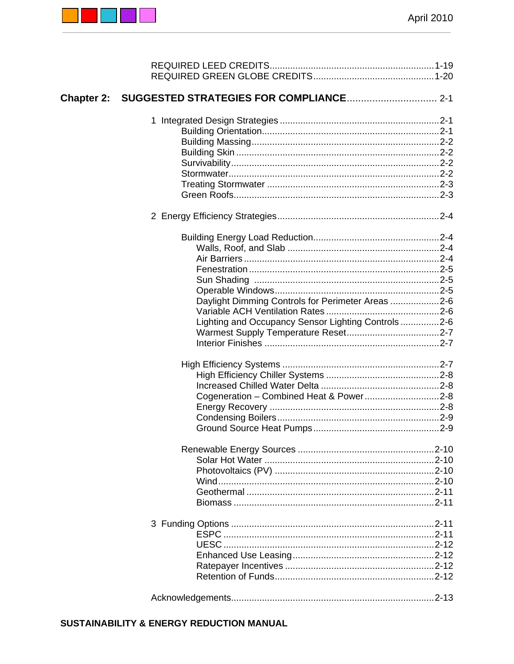

| Chapter 2: SUGGESTED STRATEGIES FOR COMPLIANCE 2-1  |  |
|-----------------------------------------------------|--|
|                                                     |  |
|                                                     |  |
|                                                     |  |
|                                                     |  |
|                                                     |  |
|                                                     |  |
|                                                     |  |
|                                                     |  |
|                                                     |  |
|                                                     |  |
|                                                     |  |
|                                                     |  |
|                                                     |  |
|                                                     |  |
| Daylight Dimming Controls for Perimeter Areas 2-6   |  |
|                                                     |  |
| Lighting and Occupancy Sensor Lighting Controls 2-6 |  |
|                                                     |  |
|                                                     |  |
|                                                     |  |
|                                                     |  |
|                                                     |  |
| Cogeneration - Combined Heat & Power2-8             |  |
|                                                     |  |
|                                                     |  |
|                                                     |  |
|                                                     |  |
|                                                     |  |
|                                                     |  |
|                                                     |  |
|                                                     |  |
|                                                     |  |
|                                                     |  |
|                                                     |  |
|                                                     |  |
|                                                     |  |
|                                                     |  |
|                                                     |  |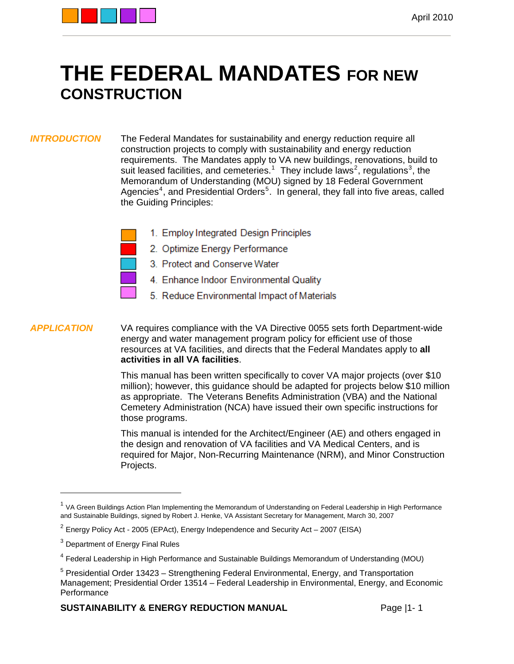

## **THE FEDERAL MANDATES FOR NEW CONSTRUCTION**

*INTRODUCTION* The Federal Mandates for sustainability and energy reduction require all construction projects to comply with sustainability and energy reduction requirements. The Mandates apply to VA new buildings, renovations, build to suit leased facilities, and cemeteries.<sup>[1](#page-3-0)</sup> They include laws<sup>[2](#page-3-1)</sup>, regulations<sup>[3](#page-3-2)</sup>, the Memorandum of Understanding (MOU) signed by 18 Federal Government Agencies<sup>[4](#page-3-3)</sup>, and Presidential Orders<sup>[5](#page-3-4)</sup>. In general, they fall into five areas, called the Guiding Principles:

| 1. Employ Integrated Design Principles  |
|-----------------------------------------|
| 2. Optimize Energy Performance          |
| 3. Protect and Conserve Water           |
| 4. Enhance Indoor Environmental Quality |
| 5. Reduce Environmental Impact of Mater |

5. Reduce Environmental Impact of Materials

*APPLICATION* VA requires compliance with the VA Directive 0055 sets forth Department-wide energy and water management program policy for efficient use of those resources at VA facilities, and directs that the Federal Mandates apply to **all activities in all VA facilities**.

> This manual has been written specifically to cover VA major projects (over \$10 million); however, this guidance should be adapted for projects below \$10 million as appropriate. The Veterans Benefits Administration (VBA) and the National Cemetery Administration (NCA) have issued their own specific instructions for those programs.

This manual is intended for the Architect/Engineer (AE) and others engaged in the design and renovation of VA facilities and VA Medical Centers, and is required for Major, Non-Recurring Maintenance (NRM), and Minor Construction Projects.

<span id="page-3-0"></span><sup>&</sup>lt;sup>1</sup> VA Green Buildings Action Plan Implementing the Memorandum of Understanding on Federal Leadership in High Performance and Sustainable Buildings, signed by Robert J. Henke, VA Assistant Secretary for Management, March 30, 2007

<span id="page-3-1"></span> $2$  Energy Policy Act - 2005 (EPAct), Energy Independence and Security Act – 2007 (EISA)

<span id="page-3-2"></span><sup>&</sup>lt;sup>3</sup> Department of Energy Final Rules

<span id="page-3-3"></span><sup>4</sup> Federal Leadership in High Performance and Sustainable Buildings Memorandum of Understanding (MOU)

<span id="page-3-4"></span><sup>&</sup>lt;sup>5</sup> Presidential Order 13423 – Strengthening Federal Environmental, Energy, and Transportation Management; Presidential Order 13514 – Federal Leadership in Environmental, Energy, and Economic **Performance**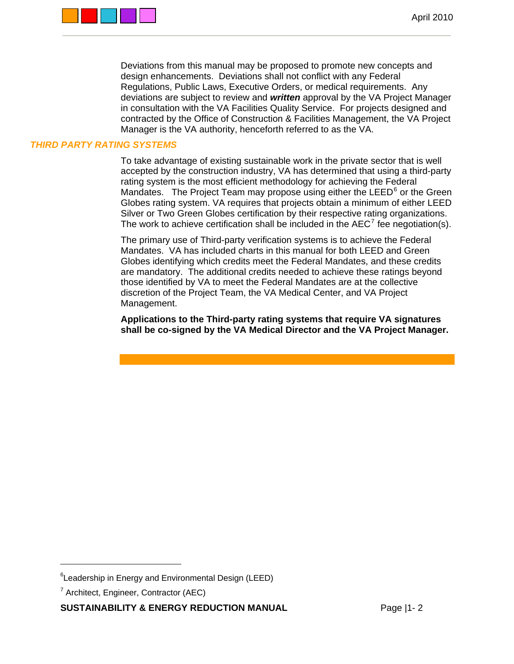

Deviations from this manual may be proposed to promote new concepts and design enhancements. Deviations shall not conflict with any Federal Regulations, Public Laws, Executive Orders, or medical requirements. Any deviations are subject to review and *written* approval by the VA Project Manager in consultation with the VA Facilities Quality Service. For projects designed and contracted by the Office of Construction & Facilities Management, the VA Project Manager is the VA authority, henceforth referred to as the VA.

### *THIRD PARTY RATING SYSTEMS*

To take advantage of existing sustainable work in the private sector that is well accepted by the construction industry, VA has determined that using a third-party rating system is the most efficient methodology for achieving the Federal Mandates. The Project Team may propose using either the LEED $<sup>6</sup>$  $<sup>6</sup>$  $<sup>6</sup>$  or the Green</sup> Globes rating system. VA requires that projects obtain a minimum of either LEED Silver or Two Green Globes certification by their respective rating organizations. The work to achieve certification shall be included in the AEC<sup>[7](#page-4-1)</sup> fee negotiation(s).

The primary use of Third-party verification systems is to achieve the Federal Mandates. VA has included charts in this manual for both LEED and Green Globes identifying which credits meet the Federal Mandates, and these credits are mandatory. The additional credits needed to achieve these ratings beyond those identified by VA to meet the Federal Mandates are at the collective discretion of the Project Team, the VA Medical Center, and VA Project Management.

**Applications to the Third-party rating systems that require VA signatures shall be co-signed by the VA Medical Director and the VA Project Manager.** 

 $\overline{a}$ 

<span id="page-4-0"></span><sup>&</sup>lt;sup>6</sup>Leadership in Energy and Environmental Design (LEED)

<span id="page-4-1"></span><sup>&</sup>lt;sup>7</sup> Architect, Engineer, Contractor (AEC)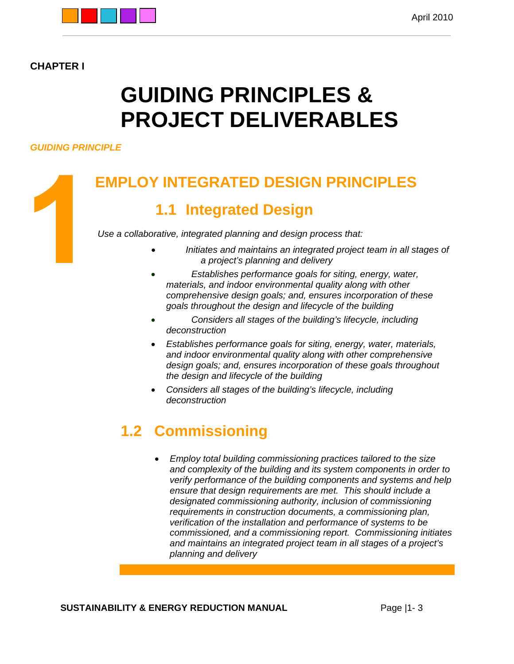

## **CHAPTER I**

# **GUIDING PRINCIPLES & PROJECT DELIVERABLES**

## *GUIDING PRINCIPLE*

## **EMPLOY INTEGRATED DESIGN PRINCIPLES**

## **1.1 Integrated Design**

*Use a collaborative, integrated planning and design process that:* 

- *Initiates and maintains an integrated project team in all stages of a project's planning and delivery*
- *Establishes performance goals for siting, energy, water, materials, and indoor environmental quality along with other comprehensive design goals; and, ensures incorporation of these goals throughout the design and lifecycle of the building*
- *Considers all stages of the building's lifecycle, including deconstruction*
- *Establishes performance goals for siting, energy, water, materials, and indoor environmental quality along with other comprehensive design goals; and, ensures incorporation of these goals throughout the design and lifecycle of the building*
- *Considers all stages of the building's lifecycle, including deconstruction*

## **1.2 Commissioning**

 *Employ total building commissioning practices tailored to the size and complexity of the building and its system components in order to verify performance of the building components and systems and help ensure that design requirements are met. This should include a designated commissioning authority, inclusion of commissioning requirements in construction documents, a commissioning plan, verification of the installation and performance of systems to be commissioned, and a commissioning report. Commissioning initiates and maintains an integrated project team in all stages of a project's planning and delivery* 

**SUSTAINABILITY & ENERGY REDUCTION MANUAL FORM AND Rage 11-3**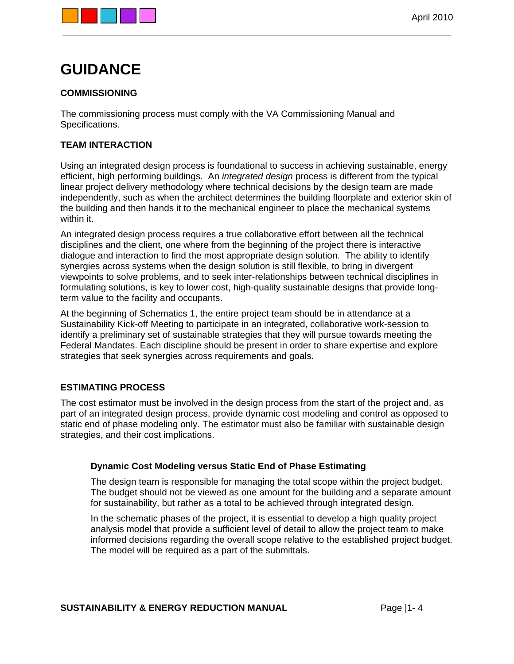

## **GUIDANCE**

## **COMMISSIONING**

The commissioning process must comply with the VA Commissioning Manual and Specifications.

## **TEAM INTERACTION**

Using an integrated design process is foundational to success in achieving sustainable, energy efficient, high performing buildings. An *integrated design* process is different from the typical linear project delivery methodology where technical decisions by the design team are made independently, such as when the architect determines the building floorplate and exterior skin of the building and then hands it to the mechanical engineer to place the mechanical systems within it.

An integrated design process requires a true collaborative effort between all the technical disciplines and the client, one where from the beginning of the project there is interactive dialogue and interaction to find the most appropriate design solution. The ability to identify synergies across systems when the design solution is still flexible, to bring in divergent viewpoints to solve problems, and to seek inter-relationships between technical disciplines in formulating solutions, is key to lower cost, high-quality sustainable designs that provide longterm value to the facility and occupants.

At the beginning of Schematics 1, the entire project team should be in attendance at a Sustainability Kick-off Meeting to participate in an integrated, collaborative work-session to identify a preliminary set of sustainable strategies that they will pursue towards meeting the Federal Mandates. Each discipline should be present in order to share expertise and explore strategies that seek synergies across requirements and goals.

### **ESTIMATING PROCESS**

The cost estimator must be involved in the design process from the start of the project and, as part of an integrated design process, provide dynamic cost modeling and control as opposed to static end of phase modeling only. The estimator must also be familiar with sustainable design strategies, and their cost implications.

### **Dynamic Cost Modeling versus Static End of Phase Estimating**

The design team is responsible for managing the total scope within the project budget. The budget should not be viewed as one amount for the building and a separate amount for sustainability, but rather as a total to be achieved through integrated design.

In the schematic phases of the project, it is essential to develop a high quality project analysis model that provide a sufficient level of detail to allow the project team to make informed decisions regarding the overall scope relative to the established project budget. The model will be required as a part of the submittals.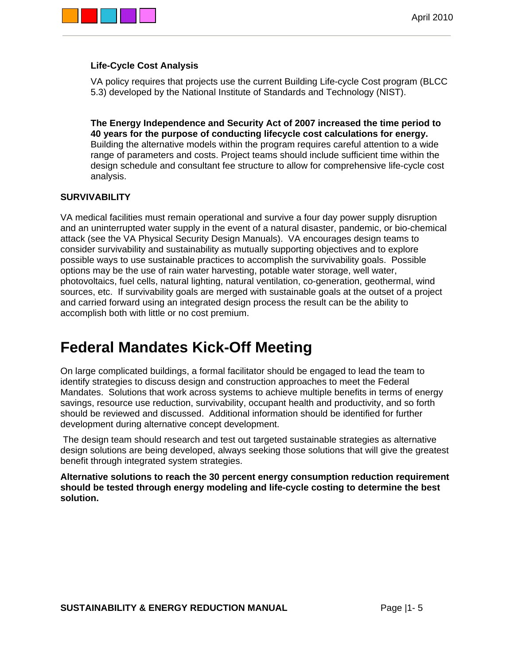

## **Life-Cycle Cost Analysis**

VA policy requires that projects use the current Building Life-cycle Cost program (BLCC 5.3) developed by the National Institute of Standards and Technology (NIST).

**The Energy Independence and Security Act of 2007 increased the time period to 40 years for the purpose of conducting lifecycle cost calculations for energy.**  Building the alternative models within the program requires careful attention to a wide range of parameters and costs. Project teams should include sufficient time within the design schedule and consultant fee structure to allow for comprehensive life-cycle cost analysis.

## **SURVIVABILITY**

VA medical facilities must remain operational and survive a four day power supply disruption and an uninterrupted water supply in the event of a natural disaster, pandemic, or bio-chemical attack (see the VA Physical Security Design Manuals). VA encourages design teams to consider survivability and sustainability as mutually supporting objectives and to explore possible ways to use sustainable practices to accomplish the survivability goals. Possible options may be the use of rain water harvesting, potable water storage, well water, photovoltaics, fuel cells, natural lighting, natural ventilation, co-generation, geothermal, wind sources, etc. If survivability goals are merged with sustainable goals at the outset of a project and carried forward using an integrated design process the result can be the ability to accomplish both with little or no cost premium.

## **Federal Mandates Kick-Off Meeting**

On large complicated buildings, a formal facilitator should be engaged to lead the team to identify strategies to discuss design and construction approaches to meet the Federal Mandates. Solutions that work across systems to achieve multiple benefits in terms of energy savings, resource use reduction, survivability, occupant health and productivity, and so forth should be reviewed and discussed. Additional information should be identified for further development during alternative concept development.

 The design team should research and test out targeted sustainable strategies as alternative design solutions are being developed, always seeking those solutions that will give the greatest benefit through integrated system strategies.

**Alternative solutions to reach the 30 percent energy consumption reduction requirement should be tested through energy modeling and life-cycle costing to determine the best solution.**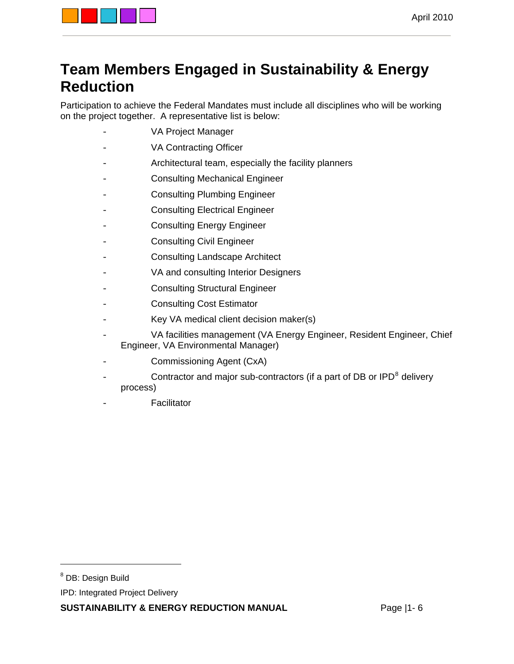

## **Team Members Engaged in Sustainability & Energy Reduction**

Participation to achieve the Federal Mandates must include all disciplines who will be working on the project together. A representative list is below:

- VA Project Manager
- VA Contracting Officer
- Architectural team, especially the facility planners
- Consulting Mechanical Engineer
- Consulting Plumbing Engineer
- Consulting Electrical Engineer
- Consulting Energy Engineer
- Consulting Civil Engineer
- Consulting Landscape Architect
- VA and consulting Interior Designers
- Consulting Structural Engineer
- Consulting Cost Estimator
- Key VA medical client decision maker(s)
- VA facilities management (VA Energy Engineer, Resident Engineer, Chief Engineer, VA Environmental Manager)
- Commissioning Agent (CxA)
- Contractor and major sub-contractors (if a part of DB or IPD<sup>[8](#page-8-0)</sup> delivery process)
- **Facilitator**

 $\overline{a}$ 

<span id="page-8-0"></span><sup>&</sup>lt;sup>8</sup> DB: Design Build

IPD: Integrated Project Delivery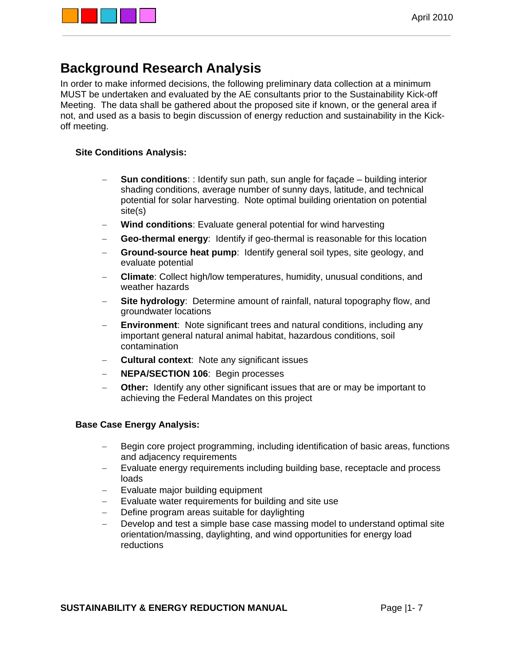

## **Background Research Analysis**

In order to make informed decisions, the following preliminary data collection at a minimum MUST be undertaken and evaluated by the AE consultants prior to the Sustainability Kick-off Meeting. The data shall be gathered about the proposed site if known, or the general area if not, and used as a basis to begin discussion of energy reduction and sustainability in the Kickoff meeting.

## **Site Conditions Analysis:**

- **Sun conditions**: : Identify sun path, sun angle for façade building interior shading conditions, average number of sunny days, latitude, and technical potential for solar harvesting. Note optimal building orientation on potential site(s)
- **Wind conditions**: Evaluate general potential for wind harvesting
- **Geo-thermal energy**: Identify if geo-thermal is reasonable for this location
- **Ground-source heat pump**: Identify general soil types, site geology, and evaluate potential
- **Climate**: Collect high/low temperatures, humidity, unusual conditions, and weather hazards
- **Site hydrology**: Determine amount of rainfall, natural topography flow, and groundwater locations
- **Environment**: Note significant trees and natural conditions, including any important general natural animal habitat, hazardous conditions, soil contamination
- **Cultural context**: Note any significant issues
- **NEPA/SECTION 106**:Begin processes
- **Other:** Identify any other significant issues that are or may be important to achieving the Federal Mandates on this project

### **Base Case Energy Analysis:**

- Begin core project programming, including identification of basic areas, functions and adjacency requirements
- Evaluate energy requirements including building base, receptacle and process loads
- Evaluate major building equipment
- Evaluate water requirements for building and site use
- Define program areas suitable for daylighting
- Develop and test a simple base case massing model to understand optimal site orientation/massing, daylighting, and wind opportunities for energy load reductions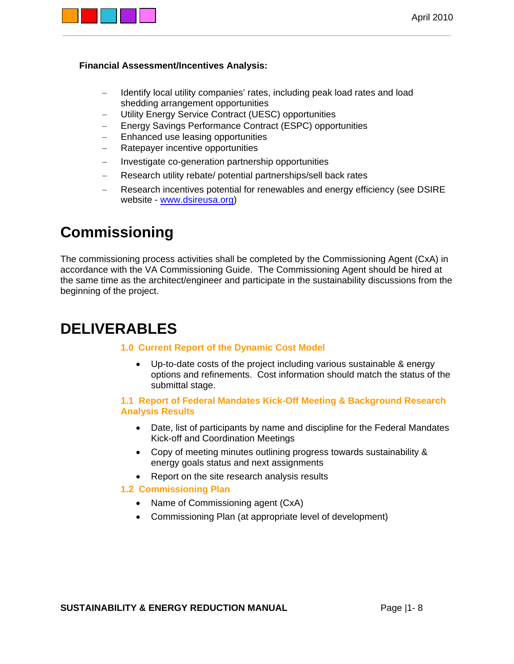

### **Financial Assessment/Incentives Analysis:**

- Identify local utility companies' rates, including peak load rates and load shedding arrangement opportunities
- Utility Energy Service Contract (UESC) opportunities
- Energy Savings Performance Contract (ESPC) opportunities
- Enhanced use leasing opportunities
- Ratepayer incentive opportunities
- Investigate co-generation partnership opportunities
- Research utility rebate/ potential partnerships/sell back rates
- Research incentives potential for renewables and energy efficiency (see DSIRE website - [www.dsireusa.org\)](http://www.dsireusa.org/)

## **Commissioning**

The commissioning process activities shall be completed by the Commissioning Agent (CxA) in accordance with the VA Commissioning Guide. The Commissioning Agent should be hired at the same time as the architect/engineer and participate in the sustainability discussions from the beginning of the project.

## **DELIVERABLES**

### **1.0 Current Report of the Dynamic Cost Model**

 Up-to-date costs of the project including various sustainable & energy options and refinements. Cost information should match the status of the submittal stage.

### **1.1 Report of Federal Mandates Kick-Off Meeting & Background Research Analysis Results**

- Date, list of participants by name and discipline for the Federal Mandates Kick-off and Coordination Meetings
- Copy of meeting minutes outlining progress towards sustainability & energy goals status and next assignments
- Report on the site research analysis results
- **1.2 Commissioning Plan** 
	- Name of Commissioning agent (CxA)
	- Commissioning Plan (at appropriate level of development)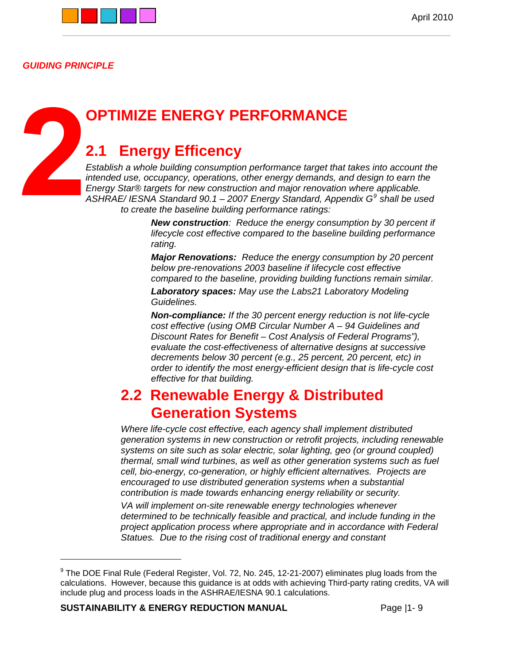

*GUIDING PRINCIPLE* 

 $\sqrt{2}$ 

## **OPTIMIZE ENERGY PERFORMANCE**

## **2.1 Energy Efficency**

*Establish a whole building consumption performance target that takes into account the intended use, occupancy, operations, other energy demands, and design to earn the Energy Star® targets for new construction and major renovation where applicable. ASHRAE/ IESNA Standard 90.1 – 2007 Energy Standard, Appendix G[9](#page-11-0) shall be used to create the baseline building performance ratings:* 

> *New construction: Reduce the energy consumption by 30 percent if lifecycle cost effective compared to the baseline building performance rating.*

> *Major Renovations: Reduce the energy consumption by 20 percent below pre-renovations 2003 baseline if lifecycle cost effective compared to the baseline, providing building functions remain similar.*

*Laboratory spaces: May use the Labs21 Laboratory Modeling Guidelines.* 

*Non-compliance: If the 30 percent energy reduction is not life-cycle cost effective (using OMB Circular Number A – 94 Guidelines and Discount Rates for Benefit – Cost Analysis of Federal Programs"), evaluate the cost-effectiveness of alternative designs at successive decrements below 30 percent (e.g., 25 percent, 20 percent, etc) in order to identify the most energy-efficient design that is life-cycle cost effective for that building.* 

## **2.2 Renewable Energy & Distributed Generation Systems**

*Where life-cycle cost effective, each agency shall implement distributed generation systems in new construction or retrofit projects, including renewable systems on site such as solar electric, solar lighting, geo (or ground coupled) thermal, small wind turbines, as well as other generation systems such as fuel cell, bio-energy, co-generation, or highly efficient alternatives. Projects are encouraged to use distributed generation systems when a substantial contribution is made towards enhancing energy reliability or security.* 

*VA will implement on-site renewable energy technologies whenever determined to be technically feasible and practical, and include funding in the project application process where appropriate and in accordance with Federal Statues. Due to the rising cost of traditional energy and constant* 

**SUSTAINABILITY & ENERGY REDUCTION MANUAL FORM AND Rage 11-9** 

<span id="page-11-0"></span> $^9$  The DOE Final Rule (Federal Register, Vol. 72, No. 245, 12-21-2007) eliminates plug loads from the calculations. However, because this guidance is at odds with achieving Third-party rating credits, VA will include plug and process loads in the ASHRAE/IESNA 90.1 calculations.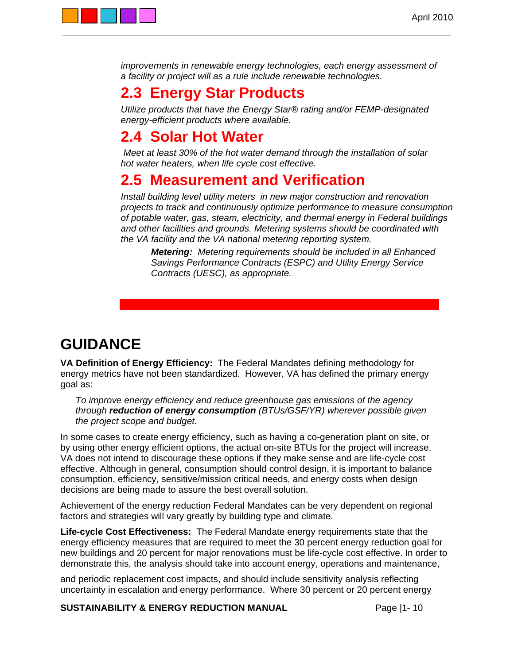

*improvements in renewable energy technologies, each energy assessment of a facility or project will as a rule include renewable technologies.* 

## **2.3 Energy Star Products**

*Utilize products that have the Energy Star® rating and/or FEMP-designated energy-efficient products where available.* 

## **2.4 Solar Hot Water**

 *Meet at least 30% of the hot water demand through the installation of solar hot water heaters, when life cycle cost effective.* 

## **2.5 Measurement and Verification**

*Install building level utility meters in new major construction and renovation projects to track and continuously optimize performance to measure consumption of potable water, gas, steam, electricity, and thermal energy in Federal buildings and other facilities and grounds. Metering systems should be coordinated with the VA facility and the VA national metering reporting system.* 

*Metering: Metering requirements should be included in all Enhanced Savings Performance Contracts (ESPC) and Utility Energy Service Contracts (UESC), as appropriate.* 

## **GUIDANCE**

**VA Definition of Energy Efficiency:** The Federal Mandates defining methodology for energy metrics have not been standardized. However, VA has defined the primary energy goal as:

*To improve energy efficiency and reduce greenhouse gas emissions of the agency through reduction of energy consumption (BTUs/GSF/YR) wherever possible given the project scope and budget.* 

In some cases to create energy efficiency, such as having a co-generation plant on site, or by using other energy efficient options, the actual on-site BTUs for the project will increase. VA does not intend to discourage these options if they make sense and are life-cycle cost effective. Although in general, consumption should control design, it is important to balance consumption, efficiency, sensitive/mission critical needs, and energy costs when design decisions are being made to assure the best overall solution.

Achievement of the energy reduction Federal Mandates can be very dependent on regional factors and strategies will vary greatly by building type and climate.

**Life-cycle Cost Effectiveness:** The Federal Mandate energy requirements state that the energy efficiency measures that are required to meet the 30 percent energy reduction goal for new buildings and 20 percent for major renovations must be life-cycle cost effective. In order to demonstrate this, the analysis should take into account energy, operations and maintenance,

and periodic replacement cost impacts, and should include sensitivity analysis reflecting uncertainty in escalation and energy performance. Where 30 percent or 20 percent energy

**SUSTAINABILITY & ENERGY REDUCTION MANUAL** Page |1- 10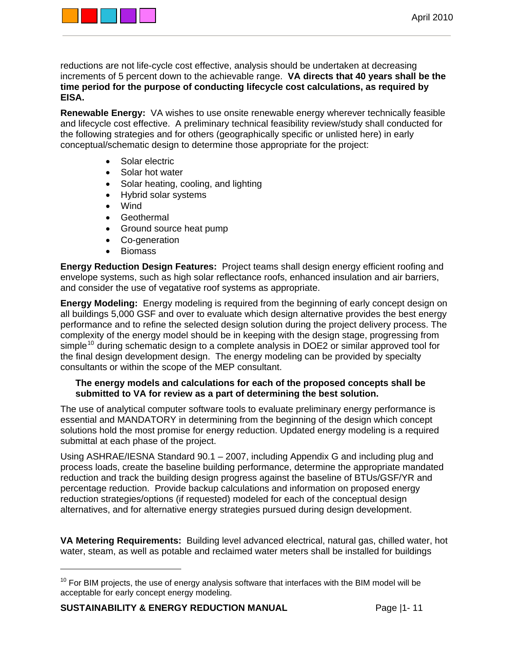

reductions are not life-cycle cost effective, analysis should be undertaken at decreasing increments of 5 percent down to the achievable range. **VA directs that 40 years shall be the time period for the purpose of conducting lifecycle cost calculations, as required by EISA.**

**Renewable Energy:** VA wishes to use onsite renewable energy wherever technically feasible and lifecycle cost effective. A preliminary technical feasibility review/study shall conducted for the following strategies and for others (geographically specific or unlisted here) in early conceptual/schematic design to determine those appropriate for the project:

- Solar electric
- Solar hot water
- Solar heating, cooling, and lighting
- Hybrid solar systems
- Wind
- Geothermal
- Ground source heat pump
- Co-generation
- Biomass

**Energy Reduction Design Features:** Project teams shall design energy efficient roofing and envelope systems, such as high solar reflectance roofs, enhanced insulation and air barriers, and consider the use of vegatative roof systems as appropriate.

**Energy Modeling:** Energy modeling is required from the beginning of early concept design on all buildings 5,000 GSF and over to evaluate which design alternative provides the best energy performance and to refine the selected design solution during the project delivery process. The complexity of the energy model should be in keeping with the design stage, progressing from simple<sup>[10](#page-13-0)</sup> during schematic design to a complete analysis in DOE2 or similar approved tool for the final design development design. The energy modeling can be provided by specialty consultants or within the scope of the MEP consultant.

### **The energy models and calculations for each of the proposed concepts shall be submitted to VA for review as a part of determining the best solution.**

The use of analytical computer software tools to evaluate preliminary energy performance is essential and MANDATORY in determining from the beginning of the design which concept solutions hold the most promise for energy reduction. Updated energy modeling is a required submittal at each phase of the project.

Using ASHRAE/IESNA Standard 90.1 – 2007, including Appendix G and including plug and process loads, create the baseline building performance, determine the appropriate mandated reduction and track the building design progress against the baseline of BTUs/GSF/YR and percentage reduction. Provide backup calculations and information on proposed energy reduction strategies/options (if requested) modeled for each of the conceptual design alternatives, and for alternative energy strategies pursued during design development.

**VA Metering Requirements:** Building level advanced electrical, natural gas, chilled water, hot water, steam, as well as potable and reclaimed water meters shall be installed for buildings

**SUSTAINABILITY & ENERGY REDUCTION MANUAL** Page |1- 11

-

<span id="page-13-0"></span> $10$  For BIM projects, the use of energy analysis software that interfaces with the BIM model will be acceptable for early concept energy modeling.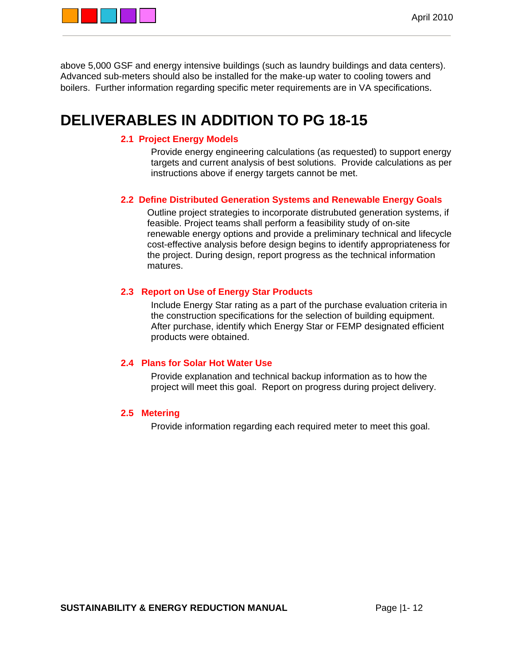

above 5,000 GSF and energy intensive buildings (such as laundry buildings and data centers). Advanced sub-meters should also be installed for the make-up water to cooling towers and boilers. Further information regarding specific meter requirements are in VA specifications.

## **DELIVERABLES IN ADDITION TO PG 18-15**

## **2.1 Project Energy Models**

Provide energy engineering calculations (as requested) to support energy targets and current analysis of best solutions. Provide calculations as per instructions above if energy targets cannot be met.

### **2.2 Define Distributed Generation Systems and Renewable Energy Goals**

Outline project strategies to incorporate distrubuted generation systems, if feasible. Project teams shall perform a feasibility study of on-site renewable energy options and provide a preliminary technical and lifecycle cost-effective analysis before design begins to identify appropriateness for the project. During design, report progress as the technical information matures.

### **2.3 Report on Use of Energy Star Products**

Include Energy Star rating as a part of the purchase evaluation criteria in the construction specifications for the selection of building equipment. After purchase, identify which Energy Star or FEMP designated efficient products were obtained.

### **2.4 Plans for Solar Hot Water Use**

Provide explanation and technical backup information as to how the project will meet this goal. Report on progress during project delivery.

### **2.5 Metering**

Provide information regarding each required meter to meet this goal.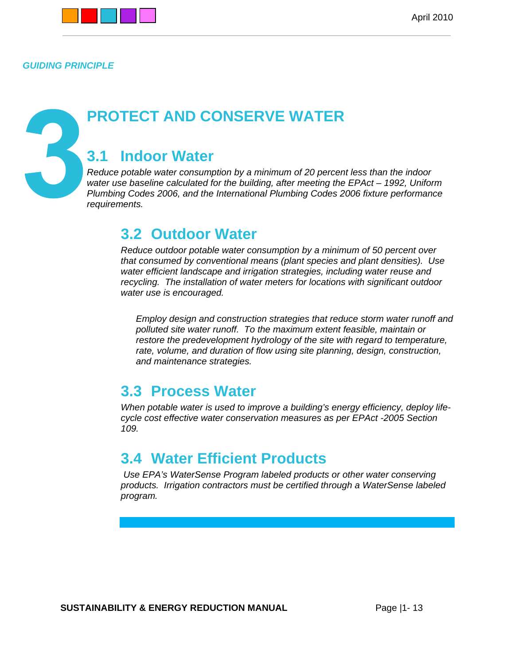

*GUIDING PRINCIPLE* 

5

## **PROTECT AND CONSERVE WATER**

## **3.1 Indoor Water**

*Reduce potable water consumption by a minimum of 20 percent less than the indoor water use baseline calculated for the building, after meeting the EPAct – 1992, Uniform Plumbing Codes 2006, and the International Plumbing Codes 2006 fixture performance requirements.* 

## **3.2 Outdoor Water**

*Reduce outdoor potable water consumption by a minimum of 50 percent over that consumed by conventional means (plant species and plant densities). Use water efficient landscape and irrigation strategies, including water reuse and recycling. The installation of water meters for locations with significant outdoor water use is encouraged.* 

*Employ design and construction strategies that reduce storm water runoff and polluted site water runoff. To the maximum extent feasible, maintain or restore the predevelopment hydrology of the site with regard to temperature, rate, volume, and duration of flow using site planning, design, construction, and maintenance strategies.* 

## **3.3 Process Water**

*When potable water is used to improve a building's energy efficiency, deploy lifecycle cost effective water conservation measures as per EPAct -2005 Section 109.* 

## **3.4 Water Efficient Products**

*Use EPA's WaterSense Program labeled products or other water conserving products. Irrigation contractors must be certified through a WaterSense labeled program.*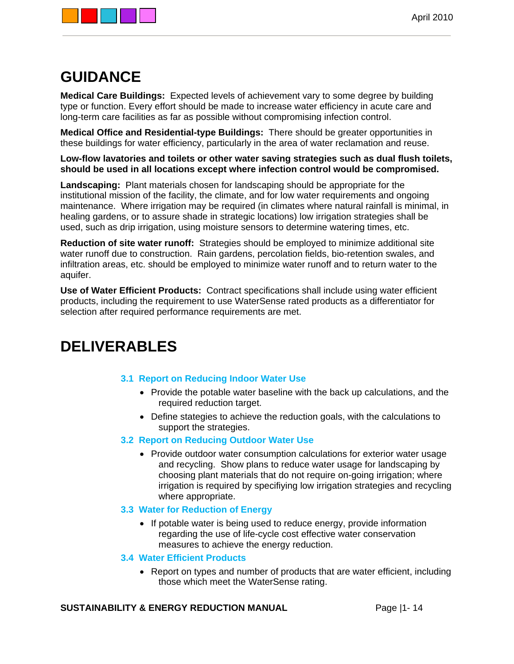

## **GUIDANCE**

**Medical Care Buildings:** Expected levels of achievement vary to some degree by building type or function. Every effort should be made to increase water efficiency in acute care and long-term care facilities as far as possible without compromising infection control.

**Medical Office and Residential-type Buildings:** There should be greater opportunities in these buildings for water efficiency, particularly in the area of water reclamation and reuse.

**Low-flow lavatories and toilets or other water saving strategies such as dual flush toilets, should be used in all locations except where infection control would be compromised.** 

**Landscaping:** Plant materials chosen for landscaping should be appropriate for the institutional mission of the facility, the climate, and for low water requirements and ongoing maintenance. Where irrigation may be required (in climates where natural rainfall is minimal, in healing gardens, or to assure shade in strategic locations) low irrigation strategies shall be used, such as drip irrigation, using moisture sensors to determine watering times, etc.

**Reduction of site water runoff:** Strategies should be employed to minimize additional site water runoff due to construction. Rain gardens, percolation fields, bio-retention swales, and infiltration areas, etc. should be employed to minimize water runoff and to return water to the aquifer.

**Use of Water Efficient Products:** Contract specifications shall include using water efficient products, including the requirement to use WaterSense rated products as a differentiator for selection after required performance requirements are met.

## **DELIVERABLES**

### **3.1 Report on Reducing Indoor Water Use**

- Provide the potable water baseline with the back up calculations, and the required reduction target.
- Define stategies to achieve the reduction goals, with the calculations to support the strategies.

### **3.2 Report on Reducing Outdoor Water Use**

• Provide outdoor water consumption calculations for exterior water usage and recycling. Show plans to reduce water usage for landscaping by choosing plant materials that do not require on-going irrigation; where irrigation is required by specifiying low irrigation strategies and recycling where appropriate.

### **3.3 Water for Reduction of Energy**

• If potable water is being used to reduce energy, provide information regarding the use of life-cycle cost effective water conservation measures to achieve the energy reduction.

### **3.4 Water Efficient Products**

 Report on types and number of products that are water efficient, including those which meet the WaterSense rating.

### **SUSTAINABILITY & ENERGY REDUCTION MANUAL** Page |1- 14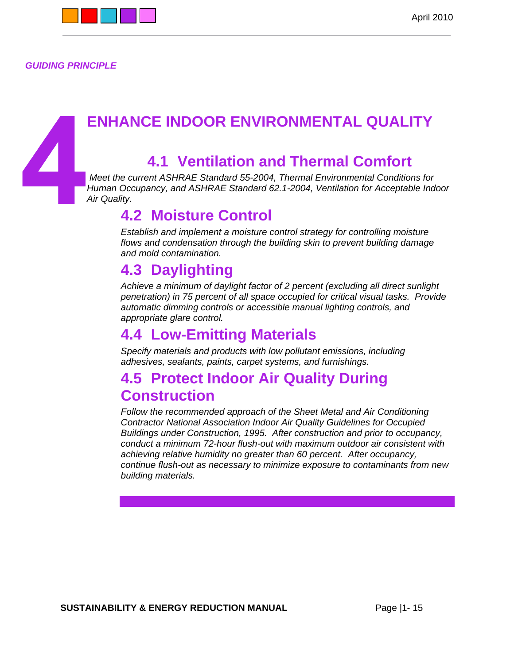

*GUIDING PRINCIPLE* 

## **ENHANCE INDOOR ENVIRONMENTAL QUALITY**

## **4.1 Ventilation and Thermal Comfort**

*Meet the current ASHRAE Standard 55-2004, Thermal Environmental Conditions for Human Occupancy, and ASHRAE Standard 62.1-2004, Ventilation for Acceptable Indoor Air Quality.* 

## **4.2 Moisture Control**

*Establish and implement a moisture control strategy for controlling moisture flows and condensation through the building skin to prevent building damage and mold contamination.* 

## **4.3 Daylighting**

*Achieve a minimum of daylight factor of 2 percent (excluding all direct sunlight penetration) in 75 percent of all space occupied for critical visual tasks. Provide automatic dimming controls or accessible manual lighting controls, and appropriate glare control.* 

## **4.4 Low-Emitting Materials**

*Specify materials and products with low pollutant emissions, including adhesives, sealants, paints, carpet systems, and furnishings.* 

## **4.5 Protect Indoor Air Quality During Construction**

*Follow the recommended approach of the Sheet Metal and Air Conditioning Contractor National Association Indoor Air Quality Guidelines for Occupied Buildings under Construction, 1995. After construction and prior to occupancy, conduct a minimum 72-hour flush-out with maximum outdoor air consistent with achieving relative humidity no greater than 60 percent. After occupancy, continue flush-out as necessary to minimize exposure to contaminants from new building materials.*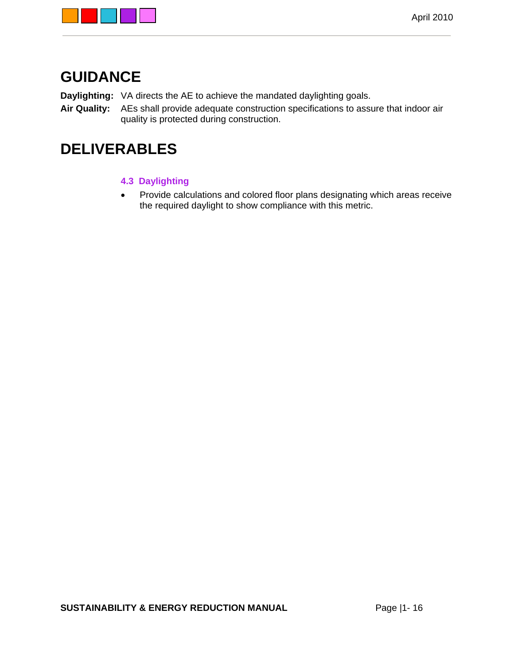

## **GUIDANCE**

**Daylighting:** VA directs the AE to achieve the mandated daylighting goals.

**Air Quality:** AEs shall provide adequate construction specifications to assure that indoor air quality is protected during construction.

## **DELIVERABLES**

- **4.3 Daylighting**
- Provide calculations and colored floor plans designating which areas receive the required daylight to show compliance with this metric.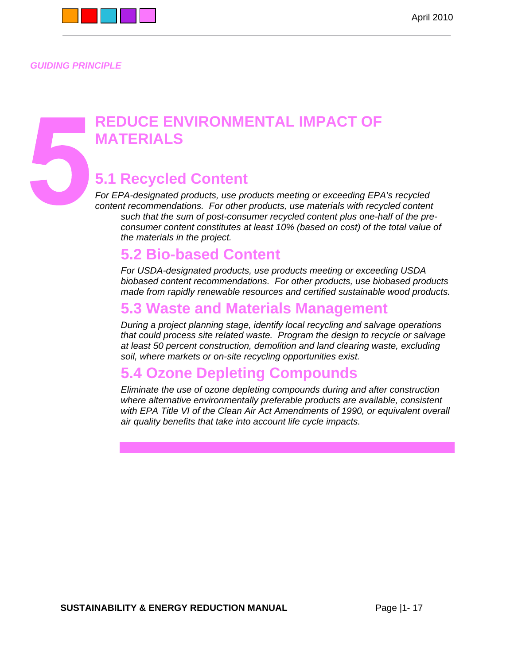

*GUIDING PRINCIPLE* 

## **REDUCE ENVIRONMENTAL IMPACT OF MATERIALS**

## **5.1 Recycled Content**

*For EPA-designated products, use products meeting or exceeding EPA's recycled content recommendations. For other products, use materials with recycled content such that the sum of post-consumer recycled content plus one-half of the preconsumer content constitutes at least 10% (based on cost) of the total value of the materials in the project.* 

## **5.2 Bio-based Content**

*For USDA-designated products, use products meeting or exceeding USDA biobased content recommendations. For other products, use biobased products made from rapidly renewable resources and certified sustainable wood products.* 

## **5.3 Waste and Materials Management**

*During a project planning stage, identify local recycling and salvage operations that could process site related waste. Program the design to recycle or salvage at least 50 percent construction, demolition and land clearing waste, excluding soil, where markets or on-site recycling opportunities exist.* 

## **5.4 Ozone Depleting Compounds**

*Eliminate the use of ozone depleting compounds during and after construction where alternative environmentally preferable products are available, consistent*  with EPA Title VI of the Clean Air Act Amendments of 1990, or equivalent overall *air quality benefits that take into account life cycle impacts.*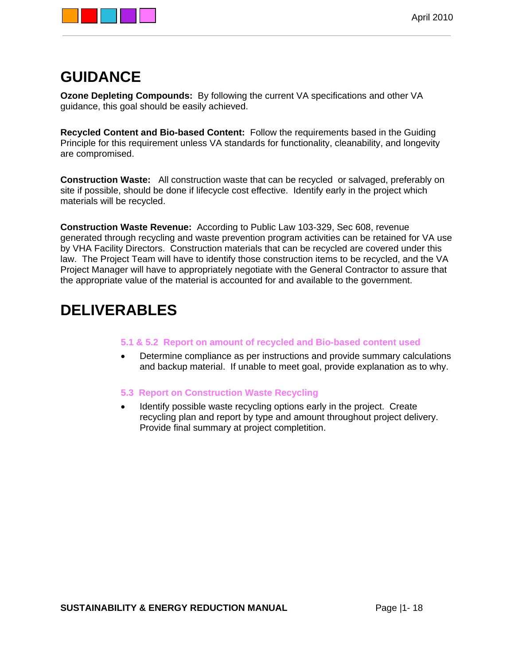

## **GUIDANCE**

**Ozone Depleting Compounds:** By following the current VA specifications and other VA guidance, this goal should be easily achieved.

**Recycled Content and Bio-based Content:** Follow the requirements based in the Guiding Principle for this requirement unless VA standards for functionality, cleanability, and longevity are compromised.

**Construction Waste:** All construction waste that can be recycled or salvaged, preferably on site if possible, should be done if lifecycle cost effective. Identify early in the project which materials will be recycled.

**Construction Waste Revenue:** According to Public Law 103-329, Sec 608, revenue generated through recycling and waste prevention program activities can be retained for VA use by VHA Facility Directors. Construction materials that can be recycled are covered under this law. The Project Team will have to identify those construction items to be recycled, and the VA Project Manager will have to appropriately negotiate with the General Contractor to assure that the appropriate value of the material is accounted for and available to the government.

## **DELIVERABLES**

### **5.1 & 5.2 Report on amount of recycled and Bio-based content used**

 Determine compliance as per instructions and provide summary calculations and backup material. If unable to meet goal, provide explanation as to why.

### **5.3 Report on Construction Waste Recycling**

 Identify possible waste recycling options early in the project. Create recycling plan and report by type and amount throughout project delivery. Provide final summary at project completition.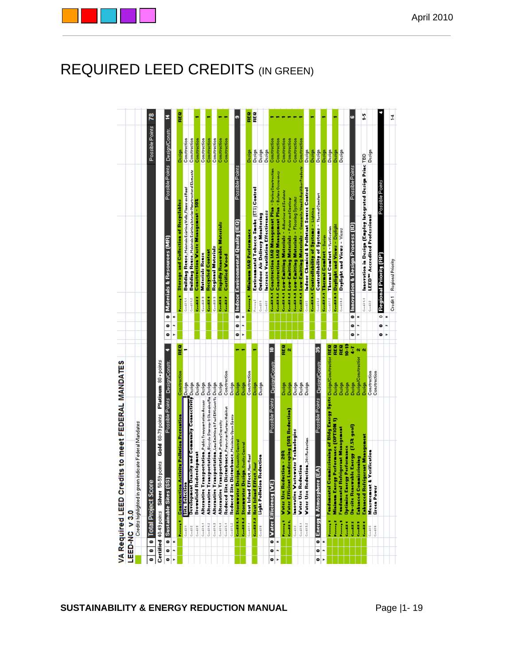|                        |                          | VA Required LEED Credits to meet FEDERAL MANDATES                      |                            |        |                     |        |                                                                                                                |                                                                                                      |                                |     |
|------------------------|--------------------------|------------------------------------------------------------------------|----------------------------|--------|---------------------|--------|----------------------------------------------------------------------------------------------------------------|------------------------------------------------------------------------------------------------------|--------------------------------|-----|
|                        | LEED-NC V3.0             |                                                                        |                            |        |                     |        |                                                                                                                |                                                                                                      |                                |     |
|                        |                          | indicate Federal Mandates<br>Credits highlighted in green              |                            |        |                     |        |                                                                                                                |                                                                                                      |                                |     |
|                        |                          |                                                                        |                            |        |                     |        |                                                                                                                |                                                                                                      |                                |     |
| $\overline{\bullet}$   |                          | <b>1</b> Total Project Score                                           |                            |        |                     |        |                                                                                                                |                                                                                                      | Possible Points                | 78  |
|                        |                          | Gold 60-79 points<br>Certified 40-49 points Silver 50-59 points        | Platinum 80 + points       |        |                     |        |                                                                                                                |                                                                                                      |                                |     |
| $\bullet$<br>$\bullet$ | $\overline{\phantom{0}}$ | Possible Points Design/Constr.<br><b>Sustainable Sites (SS</b>         |                            |        | ۰<br>۰              | ۰      |                                                                                                                | Materials & Resources (MR)                                                                           | Possible Points Design/Constr. | E.  |
| n<br>r                 | z                        |                                                                        |                            |        | n<br>s.             | z      |                                                                                                                |                                                                                                      |                                |     |
|                        | <b>Contract Contract</b> | ctivity Pollution Prevention<br><b>Construction A</b>                  | Construction               | REG    |                     |        | i di kacamatan ing Kabupatèn Kabupatèn Kabupatèn Kabupatèn Kabupatèn Kabupatèn Kabupatèn Kabupatèn Kabupatèn K | <b>Storage and Collection of Recyclables</b>                                                         | Design                         | REG |
|                        | Coolit 1                 | <b>Site Selection</b>                                                  | Design                     |        |                     |        | Cardill 1.1                                                                                                    | Building Reuse, Maintain Existing Walk, Floors and Roof                                              | Construction                   |     |
|                        | Ceedill 2                | Development Density and Community Connectivity Design                  |                            |        |                     |        | Ceedil 1.2                                                                                                     | Building Reuse, Maintain Existing Interior Nonstructural Elements                                    | Construction                   |     |
|                        | Ceedil 3                 | <b>Brownfield Redevelopment</b>                                        | Design                     |        |                     |        | <b>Contract</b>                                                                                                | <b>Construction Waste Management - 502</b>                                                           | Construction                   |     |
|                        | Ceedil 4.4               | Alternative Transportation, Public Transportation Accour               | Design                     |        |                     |        | Ceedill 3                                                                                                      | <b>Materials Reuse</b>                                                                               | Construction                   |     |
|                        | Ceedil 4.2               | Alternative Transportation, Bicycle Storage & Changing Re Design       |                            |        |                     |        | <b>Contract</b>                                                                                                | <b>Recycled Content</b>                                                                              | Construction                   |     |
|                        | Ceedil 4.5               | Alternative Transportation, LouEnitting&FuelEfficientVe Design         |                            |        |                     |        | Coolid S                                                                                                       | <b>Regional Materials</b>                                                                            | Construction                   |     |
|                        | Ceedil 4.4               | Alternative Transportation, Parking Capacity                           | Design                     |        |                     |        | <b>Contract</b>                                                                                                | <b>Rapidly Renewable Materials</b>                                                                   | Construction                   |     |
|                        | Ceedil S.4               | Reduced Site Disturbance, Protoctor Rottoro Habitat                    | Construction               |        |                     |        | Countries of                                                                                                   | <b>Certified Wood</b>                                                                                | Construction                   |     |
|                        | Ceedil S.2               | Reduced Site Disturbance, Maximize Open Space                          | Design                     |        |                     |        |                                                                                                                |                                                                                                      |                                |     |
|                        |                          | Coolin 6.4 Stormwater Design Quantity Control                          | Design                     |        | $\bullet$<br>۰      |        |                                                                                                                | Possible Points<br><b>0</b> Indoor Environmental Quality (IEQ)                                       |                                | o,  |
|                        |                          | Coolin 6.2 Stormwater Design (Quality Control                          | Design                     |        | r.<br>÷             | z      |                                                                                                                |                                                                                                      |                                |     |
|                        | Cardil 2.4               | ect, Non-Roof<br><b>Heat Island Eff</b>                                | Construction               |        |                     |        | <b>Contract</b>                                                                                                | <b>Minimum IAQ Performance</b>                                                                       | Design                         | REG |
|                        |                          | Gestion 2.2 Heat Island Effect, Roof                                   | Design                     |        |                     |        | Perreq?                                                                                                        | Environmental Tobacco Smoke [ETS] Control                                                            | Design                         | REG |
|                        | Condition.               | Reduction<br><b>Light Polletion</b>                                    | Design                     |        |                     |        | Coolid 1                                                                                                       | <b>Outdoor Air Delivery Monitoring</b>                                                               | Design                         |     |
|                        |                          |                                                                        |                            |        |                     |        | Gerdit                                                                                                         | Increase Ventilation Effectiveness                                                                   | Design                         |     |
| $\bullet$<br>0         |                          | Possible Points Design/Constr<br>O Vater Efficiency (VE)               |                            | ≘      |                     |        |                                                                                                                | Contil 3.4 Construction IAR Management Plan - DuringConversation                                     | Construction                   |     |
| n<br>s.                | z                        |                                                                        |                            |        |                     |        |                                                                                                                | Certil 3.2 Construction IAB Management Plan - Before Occupancy                                       | Construction                   |     |
|                        | <b>Contract</b>          | <b>Water Use Reduction - 202</b>                                       | Design                     | REG    |                     |        |                                                                                                                | Ceedil 4.1 Low-Emitting Materials - Adharivarand Sadante                                             | Construction                   |     |
|                        | <b>Contract</b>          | <b>Water Efficient Landscaping (50% Reduction)</b>                     | Design                     | Ň      |                     |        |                                                                                                                | Count 4.2 Low-Emitting Materials - Point and Cooting                                                 | Construction                   |     |
|                        | Ceedill 2                | Innovative Wastewater Technologies                                     | Design                     |        |                     |        |                                                                                                                | Coolin 4.1 Low-Emitting Materials - Flooring Systems                                                 | Construction                   |     |
|                        | Ceedil 3.4               | <b>Water Use Reduction</b>                                             | Design                     |        |                     |        |                                                                                                                | Contil 4.4 Low-Emitting Materials - Compariso Wood & Agrificat Products                              | Construction                   |     |
|                        | Ceedil 3.2               | Water Use Reduction, 30% Reduction                                     | Design                     |        |                     |        | Cardill'S                                                                                                      | Indoor Chemical & Pollutant Source Control                                                           | Design                         |     |
| $\bullet$<br>0         |                          | Possible Points Design/Constr.<br>ี<br><b>O</b> Energy & Atmosphere    |                            | 55     |                     |        | Cardill E.2                                                                                                    | Controllability of Systems - Thermal Comfort<br><b>Contact Controllability of Systems - Lighting</b> | Design                         |     |
| n<br>r                 | z                        |                                                                        |                            |        |                     |        |                                                                                                                | Central Thermal Comfort - Darian                                                                     | Design<br>Design               |     |
|                        | <b>Contractor</b>        | Fundamental Commissioning of Bldg Energy Syste Design/Construction REQ |                            |        |                     |        | Ceedil 7.2                                                                                                     | Thermal Comfort - Verification                                                                       | Design                         |     |
|                        | <b>Contract Contract</b> | Minimum Energy Performance (OPTION 1)                                  | Design                     | REG    |                     |        |                                                                                                                | Countries - Swait bas and Views - Daylight                                                           | Design                         |     |
|                        |                          | Fundamental Refriqerant Management                                     | Design                     | REG    |                     |        | Coolil 1.2                                                                                                     | Daylight and Views - Views                                                                           | Design                         |     |
|                        | <b>Contract</b>          | <b>Optimize Energy Performance</b>                                     | Design                     | e<br>S |                     |        |                                                                                                                |                                                                                                      |                                |     |
|                        | Countries of             | <b>On-site Renewable Energy [7.52 goal]</b>                            | Design                     | ţ      | ۰<br>۰              | ۰      |                                                                                                                | Possible Points<br>Innovation & Design Process (ID)                                                  |                                | ه   |
|                        | <b>Countries</b>         | <b>Enhanced Commissioning</b>                                          | <b>Design/Construction</b> | N N    | n<br>þ.             | z      |                                                                                                                |                                                                                                      |                                |     |
|                        | <b>Contract</b>          | <b>Enhanced Refrigerant Management</b>                                 | Design                     |        |                     |        | Ceedil 4.4                                                                                                     | Innovation in Design (Employ Integrated Design Princ TBD                                             |                                | ÷,  |
|                        | Coolid S                 | Verification<br>Measurement &                                          | Construction               |        |                     |        | Geelill                                                                                                        | <b>LEED"</b> Accredited Professional                                                                 | Design                         |     |
|                        | Ceedil E                 | Green Power                                                            | Construction               |        |                     |        |                                                                                                                |                                                                                                      |                                |     |
|                        |                          |                                                                        |                            |        | $\bullet$<br>0<br>× | 5<br>z |                                                                                                                | Possible Points<br>Regional Priority (RP)                                                            |                                |     |
|                        |                          |                                                                        |                            |        | $\overline{a}$      |        |                                                                                                                |                                                                                                      |                                |     |
|                        |                          |                                                                        |                            |        |                     |        |                                                                                                                | Credit 1 Regional Priority                                                                           |                                | ¥   |

## REQUIRED LEED CREDITS (IN GREEN)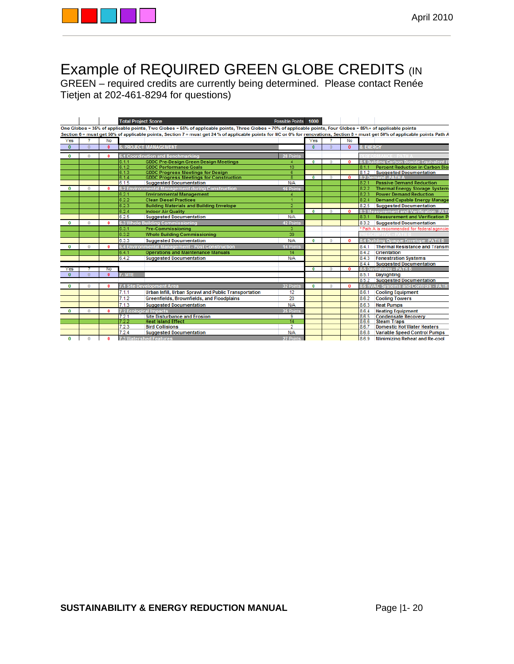

## Example of REQUIRED GREEN GLOBE CREDITS (IN

GREEN – required credits are currently being determined. Please contact Renée Tietjen at 202-461-8294 for questions)

|              |              |              | <b>Total Project Score</b>                                                                                                                                                       | Possible Points 1000 |                |          |              |                                                  |
|--------------|--------------|--------------|----------------------------------------------------------------------------------------------------------------------------------------------------------------------------------|----------------------|----------------|----------|--------------|--------------------------------------------------|
|              |              |              | One Globes = 35% of applicable points, Two Globes = 55% of applicable points, Three Globes = 70% of applicable points, Four Globes = 85%+ of applicable points                   |                      |                |          |              |                                                  |
|              |              |              | Section 6 = must get 50% of applicable points, Section 7 = must get 24 % of applicable points for NC or 0% for renovations, Section 8 = must get 50% of applicable points Path A |                      |                |          |              |                                                  |
| Yes          | 2            | No           |                                                                                                                                                                                  |                      | Yes            |          | No           |                                                  |
| $\bf{0}$     | $\theta$     | $\mathbf{0}$ | <b>6. PROJECT MANAGEMENT</b>                                                                                                                                                     |                      | $\bf{0}$       | $\Omega$ | $\bf{0}$     | 8. ENERGY                                        |
| $\bf{0}$     | $\bf{0}$     | 0            | 6.1 Coordination and Benchmarking                                                                                                                                                | 28 Points            |                |          |              |                                                  |
|              |              |              | <b>GDDC Pre-Design Green Design Meetings</b><br>6.1.1                                                                                                                            | 4                    | $\bf{0}$       | $\Omega$ | $\Omega$     | 8.1 Building Carbon Dioxide Equivalent (         |
|              |              |              | 6.1.2<br><b>GDDC Performance Goals</b>                                                                                                                                           | 10                   |                |          |              | <b>Percent Reduction in Carbon Dio:</b><br>8.1.1 |
|              |              |              | 6.1.3<br><b>GDDC Progress Meetings for Design</b>                                                                                                                                | $\overline{6}$       |                |          |              | 8.1.2<br><b>Suggested Documentation</b>          |
|              |              |              | <b>GDDC Progress Meetings for Construction</b><br>6.1.4                                                                                                                          | 8                    | $\overline{0}$ |          | $\Omega$     | 8.2 Demand -PATH A                               |
|              |              |              | 6.1.5<br><b>Suggested Documentation</b>                                                                                                                                          | N/A                  |                |          |              | 8.2.1<br><b>Passive Demand Reduction</b>         |
| $\Omega$     | $\mathbf{0}$ | $\bf{0}$     | 6.2 Environmental Management during Construction                                                                                                                                 | 16 Points            |                |          |              | 8.2.2<br><b>Thermal Energy Storage System</b>    |
|              |              |              | 6.2.1<br><b>Environmental Management</b>                                                                                                                                         |                      |                |          |              | 8.2.3<br><b>Power Demand Reduction</b>           |
|              |              |              | 6.2.2<br><b>Clean Diesel Practices</b>                                                                                                                                           |                      |                |          |              | 8.2.4<br><b>Demand Capable Energy Manage</b>     |
|              |              |              | 6.2.3<br><b>Building Materials and Building Envelope</b>                                                                                                                         | $\overline{2}$       |                |          |              | 8.2.5<br><b>Suggested Documentation</b>          |
|              |              |              | 6.2.4<br><b>Indoor Air Quality</b>                                                                                                                                               | $\overline{9}$       | $\bf{0}$       |          | $\mathbf{0}$ | 8.3 Measurement and Verification -PAT            |
|              |              |              | 6.2.5<br><b>Suggested Documentation</b>                                                                                                                                          | N/A                  |                |          |              | 8.3.1<br><b>Measurement and Verification P</b>   |
| $\Omega$     | $\Omega$     | $\bf{0}$     | 6.3 Whole Building Commissioning                                                                                                                                                 | 42 Points            |                |          |              | 8.3.2<br><b>Suggested Documentation</b>          |
|              |              |              | 6.3.1<br><b>Pre-Commissioning</b>                                                                                                                                                | 3                    |                |          |              | * Path A is recommended for federal agencie      |
|              |              |              |                                                                                                                                                                                  |                      |                |          |              |                                                  |
|              |              |              | 6.3.2<br><b>Whole Building Commissioning</b>                                                                                                                                     | 39                   |                |          |              |                                                  |
|              |              |              | 6.3.3<br><b>Suggested Documentation</b>                                                                                                                                          | N/A                  | $\bf{0}$       |          | $\bf{0}$     | 8.4 Building Opaque Envelope -PATH B             |
| $\bf{0}$     | $\Omega$     | $\bf{0}$     | 6.4 Environmental Management - Post Construction                                                                                                                                 | 14 Points            |                |          |              | 8.4.1<br><b>Thermal Resistance and Transm</b>    |
|              |              |              | <b>Operations and Maintenance Manuals</b><br>6.4.1                                                                                                                               | 14                   |                |          |              | 8.4.2<br>Orientation                             |
|              |              |              | 6.4.2<br><b>Suggested Documentation</b>                                                                                                                                          | N/A                  |                |          |              | 8.4.3<br><b>Fenestration Systems</b>             |
|              |              |              |                                                                                                                                                                                  |                      |                |          |              | 8.4.4<br><b>Suggested Documentation</b>          |
| Yes          |              | No           |                                                                                                                                                                                  |                      | $\mathbf{0}$   |          | 0            | 8.5 Davlighting - PATH B                         |
| $\mathbf{0}$ |              | $\mathbf{0}$ | 7. SITE                                                                                                                                                                          |                      |                |          |              | 8.5.1<br><b>Daylighting</b>                      |
|              |              |              |                                                                                                                                                                                  |                      |                |          |              | 8.5.2 Suggested Documentation                    |
| $\bf{0}$     | $\Omega$     | 0            | 7.1 Site Development Area                                                                                                                                                        | 32 Points            | $\bf{0}$       | $\Omega$ | $\Omega$     | 8.6 HVAC Systems and Controls - PATH             |
|              |              |              | 7.1.1<br>Urban Infill, Urban Sprawl and Public Transportation                                                                                                                    | 12                   |                |          |              | 8.6.1<br><b>Cooling Equipment</b>                |
|              |              |              | 7.1.2<br><b>Greenfields, Brownfields, and Floodplains</b>                                                                                                                        | 20                   |                |          |              | 8.6.2<br><b>Cooling Towers</b>                   |
|              |              |              | 7.1.3<br><b>Suggested Documentation</b>                                                                                                                                          | N/A                  |                |          |              | 8.6.3<br><b>Heat Pumps</b>                       |
| $\bf{0}$     | 0            | $\bf{0}$     | 7.2 Ecological Impacts                                                                                                                                                           | 25 Points            |                |          |              | 8.6.4<br><b>Heating Equipment</b>                |
|              |              |              | 7.2.1<br><b>Site Disturbance and Erosion</b>                                                                                                                                     | 9                    |                |          |              | 8.6.5<br><b>Condensate Recovery</b>              |
|              |              |              | <b>Heat Island Effect</b><br>7.2.2                                                                                                                                               | 14                   |                |          |              | 8.6.6<br><b>Steam Traps</b>                      |
|              |              |              | <b>Bird Collisions</b><br>7.2.3                                                                                                                                                  | 2                    |                |          |              | 8.6.7<br><b>Domestic Hot Water Heaters</b>       |
|              |              |              | 7.2.4<br><b>Suggested Documentation</b>                                                                                                                                          | N/A                  |                |          |              | 8.6.8<br><b>Variable Speed Control Pumps</b>     |
| $\Omega$     | $\bf{0}$     | 0            | <b>7.3 Watershed Features</b>                                                                                                                                                    | 27 Points            |                |          |              | 8.6.9<br><b>Minimizing Reheat and Re-cool</b>    |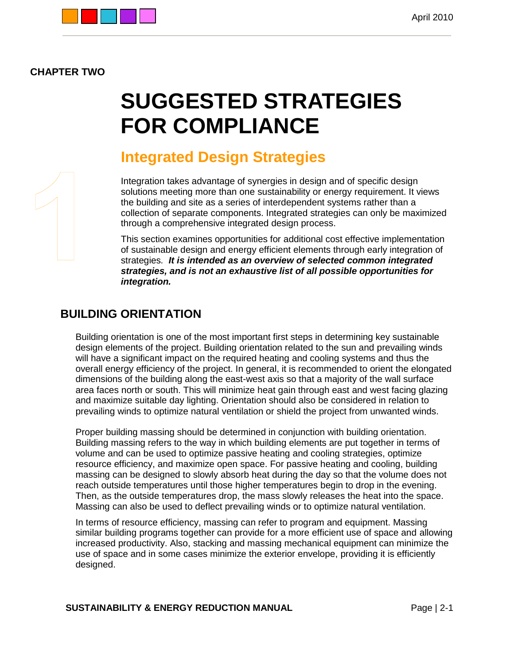

## **CHAPTER TWO**

# **SUGGESTED STRATEGIES FOR COMPLIANCE**

## **Integrated Design Strategies**

Integration takes advantage of synergies in design and of specific design solutions meeting more than one sustainability or energy requirement. It views the building and site as a series of interdependent systems rather than a collection of separate components. Integrated strategies can only be maximized through a comprehensive integrated design process.

This section examines opportunities for additional cost effective implementation of sustainable design and energy efficient elements through early integration of strategies*. It is intended as an overview of selected common integrated strategies, and is not an exhaustive list of all possible opportunities for integration.*

## **BUILDING ORIENTATION**

Building orientation is one of the most important first steps in determining key sustainable design elements of the project. Building orientation related to the sun and prevailing winds will have a significant impact on the required heating and cooling systems and thus the overall energy efficiency of the project. In general, it is recommended to orient the elongated dimensions of the building along the east-west axis so that a majority of the wall surface area faces north or south. This will minimize heat gain through east and west facing glazing and maximize suitable day lighting. Orientation should also be considered in relation to prevailing winds to optimize natural ventilation or shield the project from unwanted winds.

Proper building massing should be determined in conjunction with building orientation. Building massing refers to the way in which building elements are put together in terms of volume and can be used to optimize passive heating and cooling strategies, optimize resource efficiency, and maximize open space. For passive heating and cooling, building massing can be designed to slowly absorb heat during the day so that the volume does not reach outside temperatures until those higher temperatures begin to drop in the evening. Then, as the outside temperatures drop, the mass slowly releases the heat into the space. Massing can also be used to deflect prevailing winds or to optimize natural ventilation.

In terms of resource efficiency, massing can refer to program and equipment. Massing similar building programs together can provide for a more efficient use of space and allowing increased productivity. Also, stacking and massing mechanical equipment can minimize the use of space and in some cases minimize the exterior envelope, providing it is efficiently designed.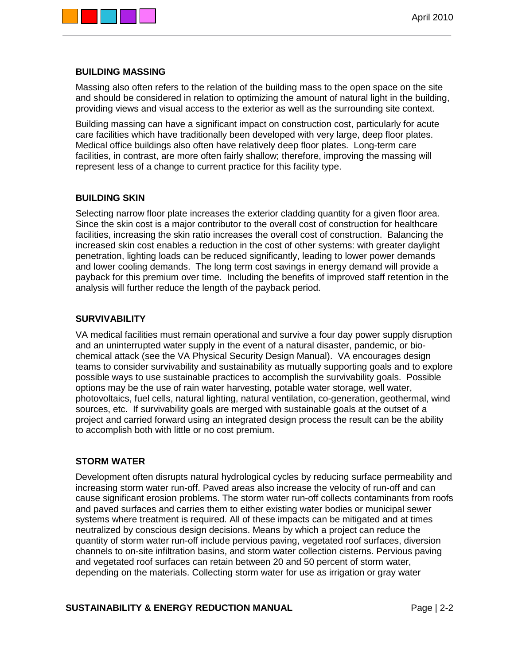

### **BUILDING MASSING**

Massing also often refers to the relation of the building mass to the open space on the site and should be considered in relation to optimizing the amount of natural light in the building, providing views and visual access to the exterior as well as the surrounding site context.

Building massing can have a significant impact on construction cost, particularly for acute care facilities which have traditionally been developed with very large, deep floor plates. Medical office buildings also often have relatively deep floor plates. Long-term care facilities, in contrast, are more often fairly shallow; therefore, improving the massing will represent less of a change to current practice for this facility type.

### **BUILDING SKIN**

Selecting narrow floor plate increases the exterior cladding quantity for a given floor area. Since the skin cost is a major contributor to the overall cost of construction for healthcare facilities, increasing the skin ratio increases the overall cost of construction. Balancing the increased skin cost enables a reduction in the cost of other systems: with greater daylight penetration, lighting loads can be reduced significantly, leading to lower power demands and lower cooling demands. The long term cost savings in energy demand will provide a payback for this premium over time. Including the benefits of improved staff retention in the analysis will further reduce the length of the payback period.

### **SURVIVABILITY**

VA medical facilities must remain operational and survive a four day power supply disruption and an uninterrupted water supply in the event of a natural disaster, pandemic, or biochemical attack (see the VA Physical Security Design Manual). VA encourages design teams to consider survivability and sustainability as mutually supporting goals and to explore possible ways to use sustainable practices to accomplish the survivability goals. Possible options may be the use of rain water harvesting, potable water storage, well water, photovoltaics, fuel cells, natural lighting, natural ventilation, co-generation, geothermal, wind sources, etc. If survivability goals are merged with sustainable goals at the outset of a project and carried forward using an integrated design process the result can be the ability to accomplish both with little or no cost premium.

### **STORM WATER**

Development often disrupts natural hydrological cycles by reducing surface permeability and increasing storm water run-off. Paved areas also increase the velocity of run-off and can cause significant erosion problems. The storm water run-off collects contaminants from roofs and paved surfaces and carries them to either existing water bodies or municipal sewer systems where treatment is required. All of these impacts can be mitigated and at times neutralized by conscious design decisions. Means by which a project can reduce the quantity of storm water run-off include pervious paving, vegetated roof surfaces, diversion channels to on-site infiltration basins, and storm water collection cisterns. Pervious paving and vegetated roof surfaces can retain between 20 and 50 percent of storm water, depending on the materials. Collecting storm water for use as irrigation or gray water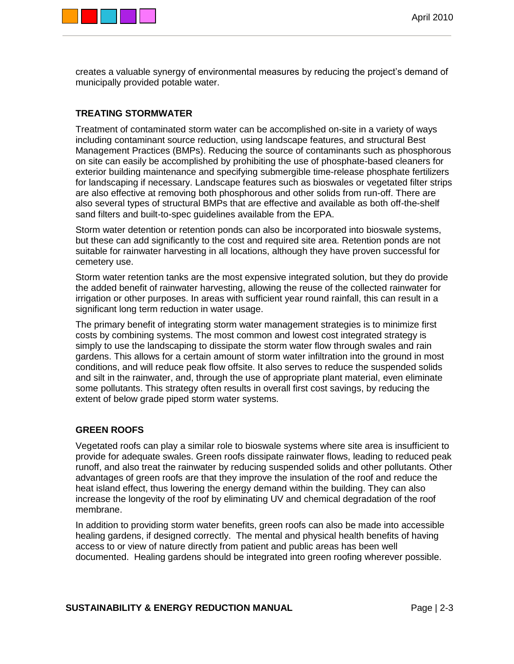

creates a valuable synergy of environmental measures by reducing the project's demand of municipally provided potable water.

## **TREATING STORMWATER**

Treatment of contaminated storm water can be accomplished on-site in a variety of ways including contaminant source reduction, using landscape features, and structural Best Management Practices (BMPs). Reducing the source of contaminants such as phosphorous on site can easily be accomplished by prohibiting the use of phosphate-based cleaners for exterior building maintenance and specifying submergible time-release phosphate fertilizers for landscaping if necessary. Landscape features such as bioswales or vegetated filter strips are also effective at removing both phosphorous and other solids from run-off. There are also several types of structural BMPs that are effective and available as both off-the-shelf sand filters and built-to-spec guidelines available from the EPA.

Storm water detention or retention ponds can also be incorporated into bioswale systems, but these can add significantly to the cost and required site area. Retention ponds are not suitable for rainwater harvesting in all locations, although they have proven successful for cemetery use.

Storm water retention tanks are the most expensive integrated solution, but they do provide the added benefit of rainwater harvesting, allowing the reuse of the collected rainwater for irrigation or other purposes. In areas with sufficient year round rainfall, this can result in a significant long term reduction in water usage.

The primary benefit of integrating storm water management strategies is to minimize first costs by combining systems. The most common and lowest cost integrated strategy is simply to use the landscaping to dissipate the storm water flow through swales and rain gardens. This allows for a certain amount of storm water infiltration into the ground in most conditions, and will reduce peak flow offsite. It also serves to reduce the suspended solids and silt in the rainwater, and, through the use of appropriate plant material, even eliminate some pollutants. This strategy often results in overall first cost savings, by reducing the extent of below grade piped storm water systems.

### **GREEN ROOFS**

Vegetated roofs can play a similar role to bioswale systems where site area is insufficient to provide for adequate swales. Green roofs dissipate rainwater flows, leading to reduced peak runoff, and also treat the rainwater by reducing suspended solids and other pollutants. Other advantages of green roofs are that they improve the insulation of the roof and reduce the heat island effect, thus lowering the energy demand within the building. They can also increase the longevity of the roof by eliminating UV and chemical degradation of the roof membrane.

In addition to providing storm water benefits, green roofs can also be made into accessible healing gardens, if designed correctly. The mental and physical health benefits of having access to or view of nature directly from patient and public areas has been well documented. Healing gardens should be integrated into green roofing wherever possible.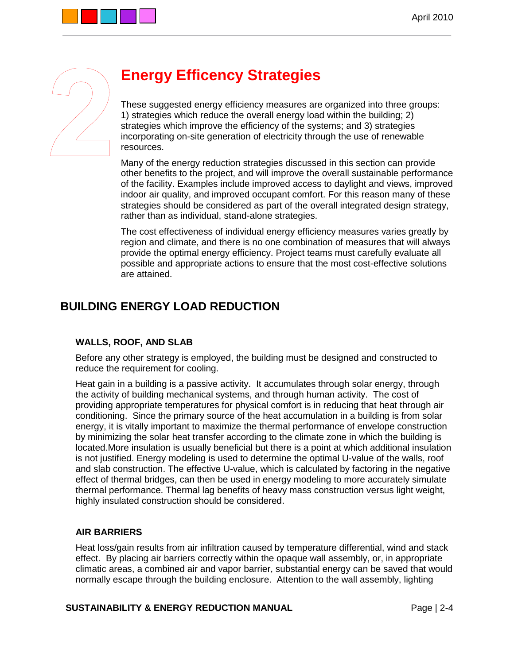

## **Energy Efficency Strategies**

These suggested energy efficiency measures are organized into three groups: 1) strategies which reduce the overall energy load within the building; 2) strategies which improve the efficiency of the systems; and 3) strategies incorporating on-site generation of electricity through the use of renewable resources.

Many of the energy reduction strategies discussed in this section can provide other benefits to the project, and will improve the overall sustainable performance of the facility. Examples include improved access to daylight and views, improved indoor air quality, and improved occupant comfort. For this reason many of these strategies should be considered as part of the overall integrated design strategy, rather than as individual, stand-alone strategies.

The cost effectiveness of individual energy efficiency measures varies greatly by region and climate, and there is no one combination of measures that will always provide the optimal energy efficiency. Project teams must carefully evaluate all possible and appropriate actions to ensure that the most cost-effective solutions are attained.

## **BUILDING ENERGY LOAD REDUCTION**

## **WALLS, ROOF, AND SLAB**

Before any other strategy is employed, the building must be designed and constructed to reduce the requirement for cooling.

Heat gain in a building is a passive activity. It accumulates through solar energy, through the activity of building mechanical systems, and through human activity. The cost of providing appropriate temperatures for physical comfort is in reducing that heat through air conditioning. Since the primary source of the heat accumulation in a building is from solar energy, it is vitally important to maximize the thermal performance of envelope construction by minimizing the solar heat transfer according to the climate zone in which the building is located.More insulation is usually beneficial but there is a point at which additional insulation is not justified. Energy modeling is used to determine the optimal U-value of the walls, roof and slab construction. The effective U-value, which is calculated by factoring in the negative effect of thermal bridges, can then be used in energy modeling to more accurately simulate thermal performance. Thermal lag benefits of heavy mass construction versus light weight, highly insulated construction should be considered.

## **AIR BARRIERS**

Heat loss/gain results from air infiltration caused by temperature differential, wind and stack effect. By placing air barriers correctly within the opaque wall assembly, or, in appropriate climatic areas, a combined air and vapor barrier, substantial energy can be saved that would normally escape through the building enclosure. Attention to the wall assembly, lighting

### **SUSTAINABILITY & ENERGY REDUCTION MANUAL FAGE 12-4** Page 12-4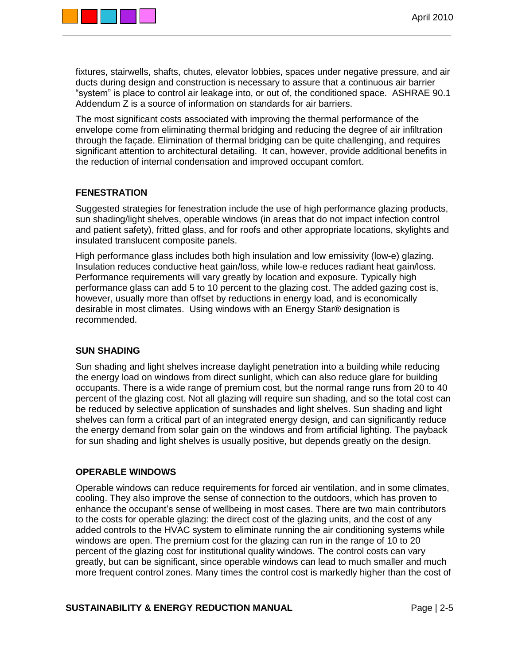

fixtures, stairwells, shafts, chutes, elevator lobbies, spaces under negative pressure, and air ducts during design and construction is necessary to assure that a continuous air barrier "system" is place to control air leakage into, or out of, the conditioned space. ASHRAE 90.1 Addendum Z is a source of information on standards for air barriers.

The most significant costs associated with improving the thermal performance of the envelope come from eliminating thermal bridging and reducing the degree of air infiltration through the façade. Elimination of thermal bridging can be quite challenging, and requires significant attention to architectural detailing. It can, however, provide additional benefits in the reduction of internal condensation and improved occupant comfort.

## **FENESTRATION**

Suggested strategies for fenestration include the use of high performance glazing products, sun shading/light shelves, operable windows (in areas that do not impact infection control and patient safety), fritted glass, and for roofs and other appropriate locations, skylights and insulated translucent composite panels.

High performance glass includes both high insulation and low emissivity (low-e) glazing. Insulation reduces conductive heat gain/loss, while low-e reduces radiant heat gain/loss. Performance requirements will vary greatly by location and exposure. Typically high performance glass can add 5 to 10 percent to the glazing cost. The added gazing cost is, however, usually more than offset by reductions in energy load, and is economically desirable in most climates. Using windows with an Energy Star® designation is recommended.

### **SUN SHADING**

Sun shading and light shelves increase daylight penetration into a building while reducing the energy load on windows from direct sunlight, which can also reduce glare for building occupants. There is a wide range of premium cost, but the normal range runs from 20 to 40 percent of the glazing cost. Not all glazing will require sun shading, and so the total cost can be reduced by selective application of sunshades and light shelves. Sun shading and light shelves can form a critical part of an integrated energy design, and can significantly reduce the energy demand from solar gain on the windows and from artificial lighting. The payback for sun shading and light shelves is usually positive, but depends greatly on the design.

### **OPERABLE WINDOWS**

Operable windows can reduce requirements for forced air ventilation, and in some climates, cooling. They also improve the sense of connection to the outdoors, which has proven to enhance the occupant's sense of wellbeing in most cases. There are two main contributors to the costs for operable glazing: the direct cost of the glazing units, and the cost of any added controls to the HVAC system to eliminate running the air conditioning systems while windows are open. The premium cost for the glazing can run in the range of 10 to 20 percent of the glazing cost for institutional quality windows. The control costs can vary greatly, but can be significant, since operable windows can lead to much smaller and much more frequent control zones. Many times the control cost is markedly higher than the cost of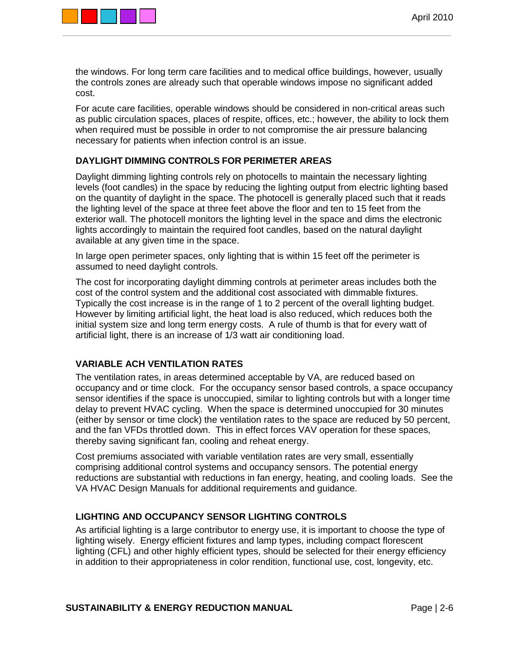

the windows. For long term care facilities and to medical office buildings, however, usually the controls zones are already such that operable windows impose no significant added cost.

For acute care facilities, operable windows should be considered in non-critical areas such as public circulation spaces, places of respite, offices, etc.; however, the ability to lock them when required must be possible in order to not compromise the air pressure balancing necessary for patients when infection control is an issue.

## **DAYLIGHT DIMMING CONTROLS FOR PERIMETER AREAS**

Daylight dimming lighting controls rely on photocells to maintain the necessary lighting levels (foot candles) in the space by reducing the lighting output from electric lighting based on the quantity of daylight in the space. The photocell is generally placed such that it reads the lighting level of the space at three feet above the floor and ten to 15 feet from the exterior wall. The photocell monitors the lighting level in the space and dims the electronic lights accordingly to maintain the required foot candles, based on the natural daylight available at any given time in the space.

In large open perimeter spaces, only lighting that is within 15 feet off the perimeter is assumed to need daylight controls.

The cost for incorporating daylight dimming controls at perimeter areas includes both the cost of the control system and the additional cost associated with dimmable fixtures. Typically the cost increase is in the range of 1 to 2 percent of the overall lighting budget. However by limiting artificial light, the heat load is also reduced, which reduces both the initial system size and long term energy costs. A rule of thumb is that for every watt of artificial light, there is an increase of 1/3 watt air conditioning load.

### **VARIABLE ACH VENTILATION RATES**

The ventilation rates, in areas determined acceptable by VA, are reduced based on occupancy and or time clock. For the occupancy sensor based controls, a space occupancy sensor identifies if the space is unoccupied, similar to lighting controls but with a longer time delay to prevent HVAC cycling. When the space is determined unoccupied for 30 minutes (either by sensor or time clock) the ventilation rates to the space are reduced by 50 percent, and the fan VFDs throttled down. This in effect forces VAV operation for these spaces, thereby saving significant fan, cooling and reheat energy.

Cost premiums associated with variable ventilation rates are very small, essentially comprising additional control systems and occupancy sensors. The potential energy reductions are substantial with reductions in fan energy, heating, and cooling loads. See the VA HVAC Design Manuals for additional requirements and guidance.

## **LIGHTING AND OCCUPANCY SENSOR LIGHTING CONTROLS**

As artificial lighting is a large contributor to energy use, it is important to choose the type of lighting wisely. Energy efficient fixtures and lamp types, including compact florescent lighting (CFL) and other highly efficient types, should be selected for their energy efficiency in addition to their appropriateness in color rendition, functional use, cost, longevity, etc.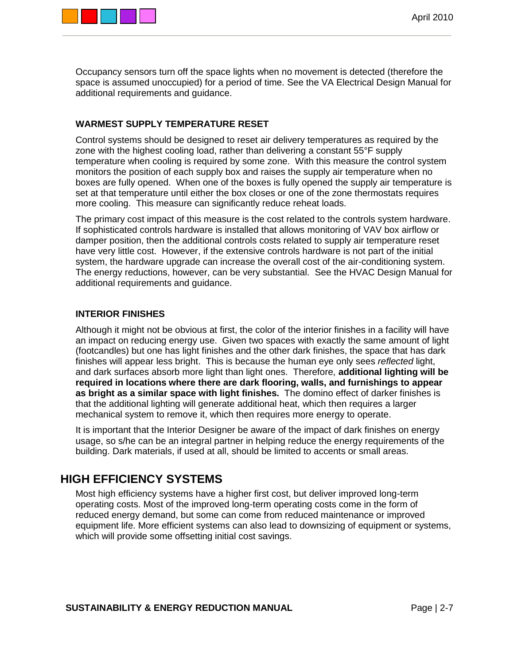

Occupancy sensors turn off the space lights when no movement is detected (therefore the space is assumed unoccupied) for a period of time. See the VA Electrical Design Manual for additional requirements and guidance.

### **WARMEST SUPPLY TEMPERATURE RESET**

Control systems should be designed to reset air delivery temperatures as required by the zone with the highest cooling load, rather than delivering a constant 55°F supply temperature when cooling is required by some zone. With this measure the control system monitors the position of each supply box and raises the supply air temperature when no boxes are fully opened. When one of the boxes is fully opened the supply air temperature is set at that temperature until either the box closes or one of the zone thermostats requires more cooling. This measure can significantly reduce reheat loads.

The primary cost impact of this measure is the cost related to the controls system hardware. If sophisticated controls hardware is installed that allows monitoring of VAV box airflow or damper position, then the additional controls costs related to supply air temperature reset have very little cost. However, if the extensive controls hardware is not part of the initial system, the hardware upgrade can increase the overall cost of the air-conditioning system. The energy reductions, however, can be very substantial. See the HVAC Design Manual for additional requirements and guidance.

### **INTERIOR FINISHES**

Although it might not be obvious at first, the color of the interior finishes in a facility will have an impact on reducing energy use. Given two spaces with exactly the same amount of light (footcandles) but one has light finishes and the other dark finishes, the space that has dark finishes will appear less bright. This is because the human eye only sees *reflected* light, and dark surfaces absorb more light than light ones. Therefore, **additional lighting will be required in locations where there are dark flooring, walls, and furnishings to appear as bright as a similar space with light finishes.** The domino effect of darker finishes is that the additional lighting will generate additional heat, which then requires a larger mechanical system to remove it, which then requires more energy to operate.

It is important that the Interior Designer be aware of the impact of dark finishes on energy usage, so s/he can be an integral partner in helping reduce the energy requirements of the building. Dark materials, if used at all, should be limited to accents or small areas.

## **HIGH EFFICIENCY SYSTEMS**

Most high efficiency systems have a higher first cost, but deliver improved long-term operating costs. Most of the improved long-term operating costs come in the form of reduced energy demand, but some can come from reduced maintenance or improved equipment life. More efficient systems can also lead to downsizing of equipment or systems, which will provide some offsetting initial cost savings.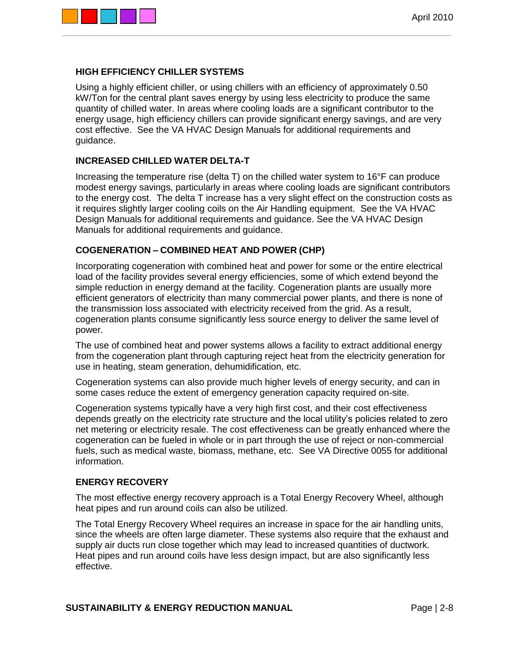

### **HIGH EFFICIENCY CHILLER SYSTEMS**

Using a highly efficient chiller, or using chillers with an efficiency of approximately 0.50 kW/Ton for the central plant saves energy by using less electricity to produce the same quantity of chilled water. In areas where cooling loads are a significant contributor to the energy usage, high efficiency chillers can provide significant energy savings, and are very cost effective. See the VA HVAC Design Manuals for additional requirements and guidance.

### **INCREASED CHILLED WATER DELTA-T**

Increasing the temperature rise (delta T) on the chilled water system to 16°F can produce modest energy savings, particularly in areas where cooling loads are significant contributors to the energy cost. The delta T increase has a very slight effect on the construction costs as it requires slightly larger cooling coils on the Air Handling equipment. See the VA HVAC Design Manuals for additional requirements and guidance. See the VA HVAC Design Manuals for additional requirements and guidance.

### **COGENERATION – COMBINED HEAT AND POWER (CHP)**

Incorporating cogeneration with combined heat and power for some or the entire electrical load of the facility provides several energy efficiencies, some of which extend beyond the simple reduction in energy demand at the facility. Cogeneration plants are usually more efficient generators of electricity than many commercial power plants, and there is none of the transmission loss associated with electricity received from the grid. As a result, cogeneration plants consume significantly less source energy to deliver the same level of power.

The use of combined heat and power systems allows a facility to extract additional energy from the cogeneration plant through capturing reject heat from the electricity generation for use in heating, steam generation, dehumidification, etc.

Cogeneration systems can also provide much higher levels of energy security, and can in some cases reduce the extent of emergency generation capacity required on-site.

Cogeneration systems typically have a very high first cost, and their cost effectiveness depends greatly on the electricity rate structure and the local utility's policies related to zero net metering or electricity resale. The cost effectiveness can be greatly enhanced where the cogeneration can be fueled in whole or in part through the use of reject or non-commercial fuels, such as medical waste, biomass, methane, etc. See VA Directive 0055 for additional information.

### **ENERGY RECOVERY**

The most effective energy recovery approach is a Total Energy Recovery Wheel, although heat pipes and run around coils can also be utilized.

The Total Energy Recovery Wheel requires an increase in space for the air handling units, since the wheels are often large diameter. These systems also require that the exhaust and supply air ducts run close together which may lead to increased quantities of ductwork. Heat pipes and run around coils have less design impact, but are also significantly less effective.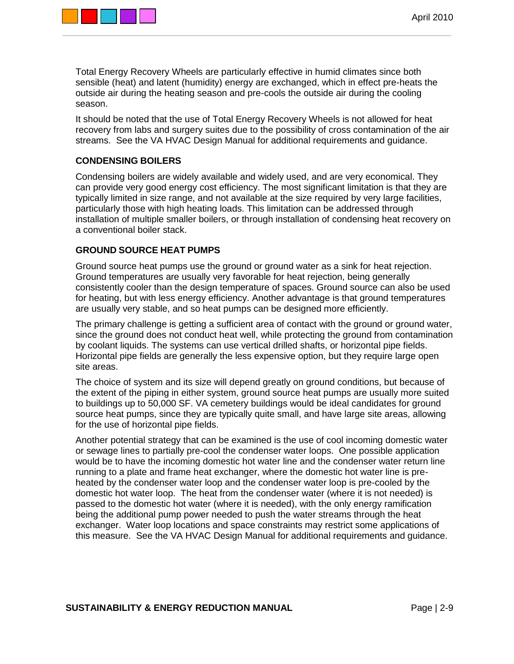

Total Energy Recovery Wheels are particularly effective in humid climates since both sensible (heat) and latent (humidity) energy are exchanged, which in effect pre-heats the outside air during the heating season and pre-cools the outside air during the cooling season.

It should be noted that the use of Total Energy Recovery Wheels is not allowed for heat recovery from labs and surgery suites due to the possibility of cross contamination of the air streams. See the VA HVAC Design Manual for additional requirements and guidance.

## **CONDENSING BOILERS**

Condensing boilers are widely available and widely used, and are very economical. They can provide very good energy cost efficiency. The most significant limitation is that they are typically limited in size range, and not available at the size required by very large facilities, particularly those with high heating loads. This limitation can be addressed through installation of multiple smaller boilers, or through installation of condensing heat recovery on a conventional boiler stack.

### **GROUND SOURCE HEAT PUMPS**

Ground source heat pumps use the ground or ground water as a sink for heat rejection. Ground temperatures are usually very favorable for heat rejection, being generally consistently cooler than the design temperature of spaces. Ground source can also be used for heating, but with less energy efficiency. Another advantage is that ground temperatures are usually very stable, and so heat pumps can be designed more efficiently.

The primary challenge is getting a sufficient area of contact with the ground or ground water, since the ground does not conduct heat well, while protecting the ground from contamination by coolant liquids. The systems can use vertical drilled shafts, or horizontal pipe fields. Horizontal pipe fields are generally the less expensive option, but they require large open site areas.

The choice of system and its size will depend greatly on ground conditions, but because of the extent of the piping in either system, ground source heat pumps are usually more suited to buildings up to 50,000 SF. VA cemetery buildings would be ideal candidates for ground source heat pumps, since they are typically quite small, and have large site areas, allowing for the use of horizontal pipe fields.

Another potential strategy that can be examined is the use of cool incoming domestic water or sewage lines to partially pre-cool the condenser water loops. One possible application would be to have the incoming domestic hot water line and the condenser water return line running to a plate and frame heat exchanger, where the domestic hot water line is preheated by the condenser water loop and the condenser water loop is pre-cooled by the domestic hot water loop. The heat from the condenser water (where it is not needed) is passed to the domestic hot water (where it is needed), with the only energy ramification being the additional pump power needed to push the water streams through the heat exchanger. Water loop locations and space constraints may restrict some applications of this measure. See the VA HVAC Design Manual for additional requirements and guidance.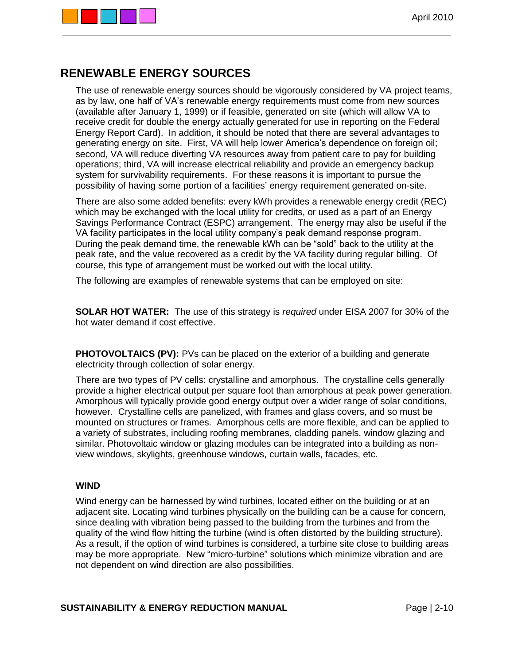

## **RENEWABLE ENERGY SOURCES**

The use of renewable energy sources should be vigorously considered by VA project teams, as by law, one half of VA's renewable energy requirements must come from new sources (available after January 1, 1999) or if feasible, generated on site (which will allow VA to receive credit for double the energy actually generated for use in reporting on the Federal Energy Report Card). In addition, it should be noted that there are several advantages to generating energy on site. First, VA will help lower America's dependence on foreign oil; second, VA will reduce diverting VA resources away from patient care to pay for building operations; third, VA will increase electrical reliability and provide an emergency backup system for survivability requirements. For these reasons it is important to pursue the possibility of having some portion of a facilities' energy requirement generated on-site.

There are also some added benefits: every kWh provides a renewable energy credit (REC) which may be exchanged with the local utility for credits, or used as a part of an Energy Savings Performance Contract (ESPC) arrangement. The energy may also be useful if the VA facility participates in the local utility company's peak demand response program. During the peak demand time, the renewable kWh can be "sold" back to the utility at the peak rate, and the value recovered as a credit by the VA facility during regular billing. Of course, this type of arrangement must be worked out with the local utility.

The following are examples of renewable systems that can be employed on site:

**SOLAR HOT WATER:** The use of this strategy is *required* under EISA 2007 for 30% of the hot water demand if cost effective.

**PHOTOVOLTAICS (PV):** PVs can be placed on the exterior of a building and generate electricity through collection of solar energy.

There are two types of PV cells: crystalline and amorphous. The crystalline cells generally provide a higher electrical output per square foot than amorphous at peak power generation. Amorphous will typically provide good energy output over a wider range of solar conditions, however. Crystalline cells are panelized, with frames and glass covers, and so must be mounted on structures or frames. Amorphous cells are more flexible, and can be applied to a variety of substrates, including roofing membranes, cladding panels, window glazing and similar. Photovoltaic window or glazing modules can be integrated into a building as nonview windows, skylights, greenhouse windows, curtain walls, facades, etc.

### **WIND**

Wind energy can be harnessed by wind turbines, located either on the building or at an adjacent site. Locating wind turbines physically on the building can be a cause for concern, since dealing with vibration being passed to the building from the turbines and from the quality of the wind flow hitting the turbine (wind is often distorted by the building structure). As a result, if the option of wind turbines is considered, a turbine site close to building areas may be more appropriate. New "micro-turbine" solutions which minimize vibration and are not dependent on wind direction are also possibilities.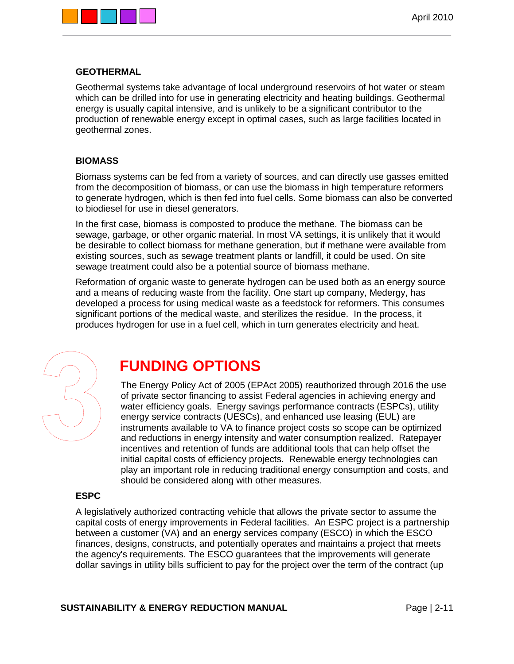



### **GEOTHERMAL**

Geothermal systems take advantage of local underground reservoirs of hot water or steam which can be drilled into for use in generating electricity and heating buildings. Geothermal energy is usually capital intensive, and is unlikely to be a significant contributor to the production of renewable energy except in optimal cases, such as large facilities located in geothermal zones.

### **BIOMASS**

Biomass systems can be fed from a variety of sources, and can directly use gasses emitted from the decomposition of biomass, or can use the biomass in high temperature reformers to generate hydrogen, which is then fed into fuel cells. Some biomass can also be converted to biodiesel for use in diesel generators.

In the first case, biomass is composted to produce the methane. The biomass can be sewage, garbage, or other organic material. In most VA settings, it is unlikely that it would be desirable to collect biomass for methane generation, but if methane were available from existing sources, such as sewage treatment plants or landfill, it could be used. On site sewage treatment could also be a potential source of biomass methane.

Reformation of organic waste to generate hydrogen can be used both as an energy source and a means of reducing waste from the facility. One start up company, Medergy, has developed a process for using medical waste as a feedstock for reformers. This consumes significant portions of the medical waste, and sterilizes the residue. In the process, it produces hydrogen for use in a fuel cell, which in turn generates electricity and heat.



## **FUNDING OPTIONS**

The Energy Policy Act of 2005 (EPAct 2005) reauthorized through 2016 the use of private sector financing to assist Federal agencies in achieving energy and water efficiency goals. Energy savings performance contracts (ESPCs), utility energy service contracts (UESCs), and enhanced use leasing (EUL) are instruments available to VA to finance project costs so scope can be optimized and reductions in energy intensity and water consumption realized. Ratepayer incentives and retention of funds are additional tools that can help offset the initial capital costs of efficiency projects. Renewable energy technologies can play an important role in reducing traditional energy consumption and costs, and should be considered along with other measures.

### **ESPC**

A legislatively authorized contracting vehicle that allows the private sector to assume the capital costs of energy improvements in Federal facilities. An ESPC project is a partnership between a customer (VA) and an energy services company (ESCO) in which the ESCO finances, designs, constructs, and potentially operates and maintains a project that meets the agency's requirements. The ESCO guarantees that the improvements will generate dollar savings in utility bills sufficient to pay for the project over the term of the contract (up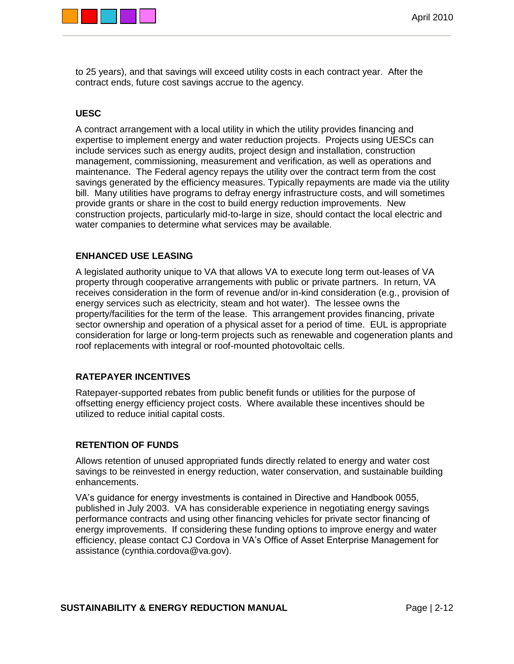

to 25 years), and that savings will exceed utility costs in each contract year. After the contract ends, future cost savings accrue to the agency.

### **UESC**

A contract arrangement with a local utility in which the utility provides financing and expertise to implement energy and water reduction projects. Projects using UESCs can include services such as energy audits, project design and installation, construction management, commissioning, measurement and verification, as well as operations and maintenance. The Federal agency repays the utility over the contract term from the cost savings generated by the efficiency measures. Typically repayments are made via the utility bill. Many utilities have programs to defray energy infrastructure costs, and will sometimes provide grants or share in the cost to build energy reduction improvements. New construction projects, particularly mid-to-large in size, should contact the local electric and water companies to determine what services may be available.

### **ENHANCED USE LEASING**

A legislated authority unique to VA that allows VA to execute long term out-leases of VA property through cooperative arrangements with public or private partners. In return, VA receives consideration in the form of revenue and/or in-kind consideration (e.g., provision of energy services such as electricity, steam and hot water). The lessee owns the property/facilities for the term of the lease. This arrangement provides financing, private sector ownership and operation of a physical asset for a period of time. EUL is appropriate consideration for large or long-term projects such as renewable and cogeneration plants and roof replacements with integral or roof-mounted photovoltaic cells.

### **RATEPAYER INCENTIVES**

Ratepayer-supported rebates from public benefit funds or utilities for the purpose of offsetting energy efficiency project costs. Where available these incentives should be utilized to reduce initial capital costs.

### **RETENTION OF FUNDS**

Allows retention of unused appropriated funds directly related to energy and water cost savings to be reinvested in energy reduction, water conservation, and sustainable building enhancements.

VA's guidance for energy investments is contained in Directive and Handbook 0055, published in July 2003. VA has considerable experience in negotiating energy savings performance contracts and using other financing vehicles for private sector financing of energy improvements. If considering these funding options to improve energy and water efficiency, please contact CJ Cordova in VA's Office of Asset Enterprise Management for assistance (cynthia.cordova@va.gov).